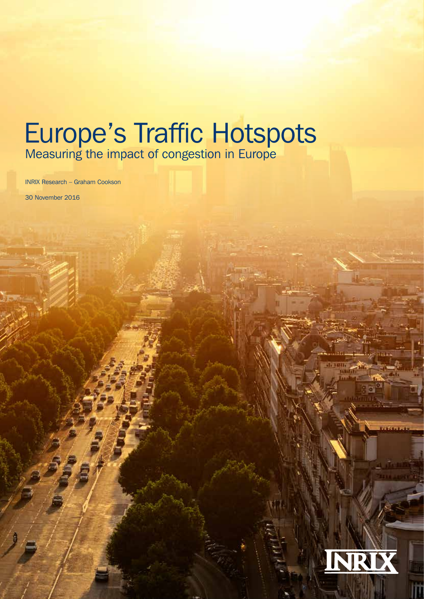# Measuring the impact of congestion in Europe Europe's Traffic Hotspots

INRIX Research – Graham Cookson

30 November 2016

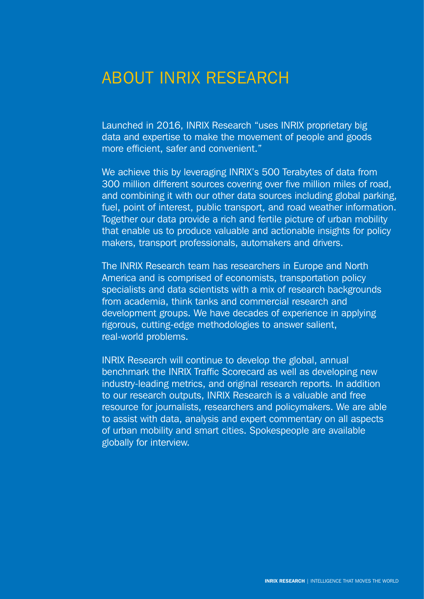# ABOUT INRIX RESEARCH

Launched in 2016, INRIX Research "uses INRIX proprietary big data and expertise to make the movement of people and goods more efficient, safer and convenient."

We achieve this by leveraging INRIX's 500 Terabytes of data from 300 million different sources covering over five million miles of road, and combining it with our other data sources including global parking, fuel, point of interest, public transport, and road weather information. Together our data provide a rich and fertile picture of urban mobility that enable us to produce valuable and actionable insights for policy makers, transport professionals, automakers and drivers.

The INRIX Research team has researchers in Europe and North America and is comprised of economists, transportation policy specialists and data scientists with a mix of research backgrounds from academia, think tanks and commercial research and development groups. We have decades of experience in applying rigorous, cutting-edge methodologies to answer salient, real-world problems.

INRIX Research will continue to develop the global, annual benchmark the INRIX Traffic Scorecard as well as developing new industry-leading metrics, and original research reports. In addition to our research outputs, INRIX Research is a valuable and free resource for journalists, researchers and policymakers. We are able to assist with data, analysis and expert commentary on all aspects of urban mobility and smart cities. Spokespeople are available globally for interview.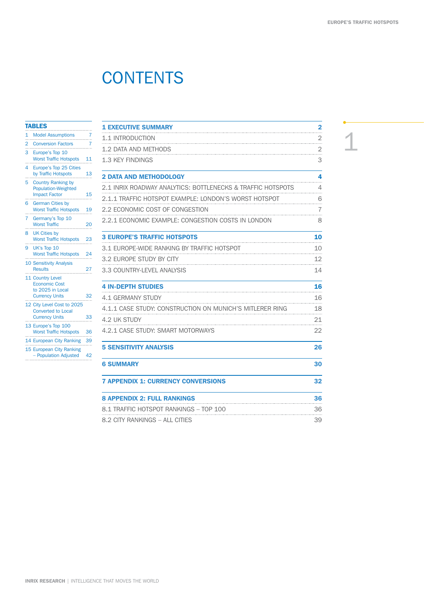1

# **CONTENTS**

#### **TABLES**

| 1              | <b>Model Assumptions</b>                                                              | 7  |
|----------------|---------------------------------------------------------------------------------------|----|
| $\overline{2}$ | <b>Conversion Factors</b>                                                             | 7  |
| 3              | Europe's Top 10<br><b>Worst Traffic Hotspots</b>                                      | 11 |
| $\overline{4}$ | <b>Europe's Top 25 Cities</b><br>by Traffic Hotspots                                  | 13 |
| 5              | <b>Country Ranking by</b><br><b>Population-Weighted</b><br><b>Impact Factor</b>       | 15 |
| 6              | <b>German Cities by</b><br><b>Worst Traffic Hotspots</b>                              | 19 |
| 7              | Germany's Top 10<br><b>Worst Traffic</b>                                              | 20 |
| $\mathsf{R}$   | <b>UK Cities by</b><br><b>Worst Traffic Hotspots</b>                                  | 23 |
| 9              | UK's Top 10<br><b>Worst Traffic Hotspots</b>                                          | 24 |
|                | <b>10 Sensitivity Analysis</b><br><b>Results</b>                                      | 27 |
|                | 11 Country Level<br><b>Economic Cost</b><br>to 2025 in Local<br><b>Currency Units</b> | 32 |
|                | 12 City Level Cost to 2025<br><b>Converted to Local</b><br><b>Currency Units</b>      | 33 |
|                | 13 Europe's Top 100                                                                   |    |

14 European City Ranking 39

Worst Traffic Hotspots 36

15 European City Ranking – Population Adjusted 42

| <b>1 EXECUTIVE SUMMARY</b>                                  | $\overline{2}$ |
|-------------------------------------------------------------|----------------|
| 1.1 INTRODUCTION                                            | $\overline{2}$ |
| 1.2 DATA AND METHODS                                        | 2              |
| 1.3 KEY FINDINGS                                            | 3              |
| 2 DATA AND METHODOLOGY                                      | 4              |
| 2.1 INRIX ROADWAY ANALYTICS: BOTTLENECKS & TRAFFIC HOTSPOTS | 4              |
| 2.1.1 TRAFFIC HOTSPOT EXAMPLE: LONDON'S WORST HOTSPOT       | 6              |
| 2.2 ECONOMIC COST OF CONGESTION                             | 7              |
| 2.2.1 ECONOMIC EXAMPLE: CONGESTION COSTS IN LONDON          | 8              |
| <b>3 EUROPE'S TRAFFIC HOTSPOTS</b>                          | 10             |
| 3.1 EUROPE-WIDE RANKING BY TRAFFIC HOTSPOT                  | 10             |
| 3.2 EUROPE STUDY BY CITY                                    | 12             |
| 3.3 COUNTRY-LEVEL ANALYSIS                                  | 14             |
| <b>4 IN-DEPTH STUDIES</b>                                   | 16             |
| 4.1 GERMANY STUDY                                           | 16             |
| 4.1.1 CASE STUDY: CONSTRUCTION ON MUNICH'S MITLERER RING    | 18             |
| 4.2 UK STUDY                                                | 21             |
| 4.2.1 CASE STUDY: SMART MOTORWAYS                           | 22             |
| <b>5 SENSITIVITY ANALYSIS</b>                               | 26             |
| <b>6 SUMMARY</b>                                            | 30             |
| <b>7 APPENDIX 1: CURRENCY CONVERSIONS</b>                   | 32             |
| <b>8 APPENDIX 2: FULL RANKINGS</b>                          | 36             |
| 8.1 TRAFFIC HOTSPOT RANKINGS - TOP 100                      | 36             |
|                                                             |                |

8.2 CITY RANKINGS – ALL CITIES 39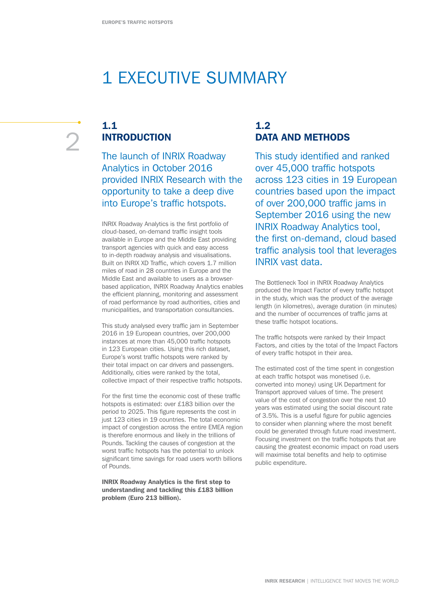# 1 EXECUTIVE SUMMARY

#### 1.1 INTRODUCTION

The launch of INRIX Roadway Analytics in October 2016 provided INRIX Research with the opportunity to take a deep dive into Europe's traffic hotspots.

INRIX Roadway Analytics is the first portfolio of cloud-based, on-demand traffic insight tools available in Europe and the Middle East providing transport agencies with quick and easy access to in-depth roadway analysis and visualisations. Built on INRIX XD Traffic, which covers 1.7 million miles of road in 28 countries in Europe and the Middle East and available to users as a browserbased application, INRIX Roadway Analytics enables the efficient planning, monitoring and assessment of road performance by road authorities, cities and municipalities, and transportation consultancies.

This study analysed every traffic jam in September 2016 in 19 European countries, over 200,000 instances at more than 45,000 traffic hotspots in 123 European cities. Using this rich dataset, Europe's worst traffic hotspots were ranked by their total impact on car drivers and passengers. Additionally, cities were ranked by the total, collective impact of their respective traffic hotspots.

For the first time the economic cost of these traffic hotspots is estimated: over £183 billion over the period to 2025. This figure represents the cost in just 123 cities in 19 countries. The total economic impact of congestion across the entire EMEA region is therefore enormous and likely in the trillions of Pounds. Tackling the causes of congestion at the worst traffic hotspots has the potential to unlock significant time savings for road users worth billions of Pounds.

INRIX Roadway Analytics is the first step to understanding and tackling this £183 billion problem (Euro 213 billion).

#### 1.2 DATA AND METHODS

This study identified and ranked over 45,000 traffic hotspots across 123 cities in 19 European countries based upon the impact of over 200,000 traffic jams in September 2016 using the new INRIX Roadway Analytics tool, the first on-demand, cloud based traffic analysis tool that leverages INRIX vast data.

The Bottleneck Tool in INRIX Roadway Analytics produced the Impact Factor of every traffic hotspot in the study, which was the product of the average length (in kilometres), average duration (in minutes) and the number of occurrences of traffic jams at these traffic hotspot locations.

The traffic hotspots were ranked by their Impact Factors, and cities by the total of the Impact Factors of every traffic hotspot in their area.

The estimated cost of the time spent in congestion at each traffic hotspot was monetised (i.e. converted into money) using UK Department for Transport approved values of time. The present value of the cost of congestion over the next 10 years was estimated using the social discount rate of 3.5%. This is a useful figure for public agencies to consider when planning where the most benefit could be generated through future road investment. Focusing investment on the traffic hotspots that are causing the greatest economic impact on road users will maximise total benefits and help to optimise public expenditure.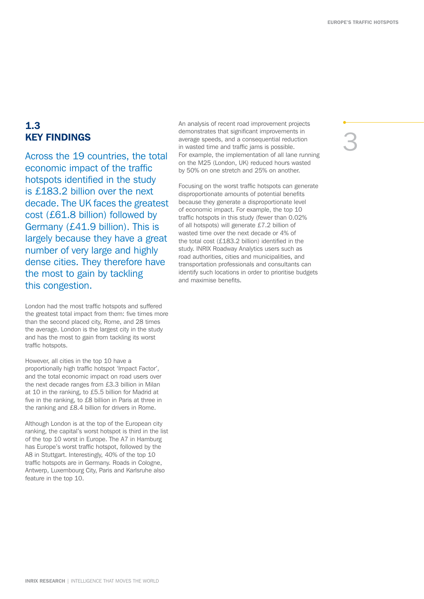## 1.3 KEY FINDINGS

Across the 19 countries, the total economic impact of the traffic hotspots identified in the study is £183.2 billion over the next decade. The UK faces the greatest cost (£61.8 billion) followed by Germany (£41.9 billion). This is largely because they have a great number of very large and highly dense cities. They therefore have the most to gain by tackling this congestion.

London had the most traffic hotspots and suffered the greatest total impact from them: five times more than the second placed city, Rome, and 28 times the average. London is the largest city in the study and has the most to gain from tackling its worst traffic hotspots.

However, all cities in the top 10 have a proportionally high traffic hotspot 'Impact Factor', and the total economic impact on road users over the next decade ranges from £3.3 billion in Milan at 10 in the ranking, to £5.5 billion for Madrid at five in the ranking, to £8 billion in Paris at three in the ranking and £8.4 billion for drivers in Rome.

Although London is at the top of the European city ranking, the capital's worst hotspot is third in the list of the top 10 worst in Europe. The A7 in Hamburg has Europe's worst traffic hotspot, followed by the A8 in Stuttgart. Interestingly, 40% of the top 10 traffic hotspots are in Germany. Roads in Cologne, Antwerp, Luxembourg City, Paris and Karlsruhe also feature in the top 10.

An analysis of recent road improvement projects demonstrates that significant improvements in average speeds, and a consequential reduction in wasted time and traffic jams is possible. For example, the implementation of all lane running on the M25 (London, UK) reduced hours wasted by 50% on one stretch and 25% on another.

Focusing on the worst traffic hotspots can generate disproportionate amounts of potential benefits because they generate a disproportionate level of economic impact. For example, the top 10 traffic hotspots in this study (fewer than 0.02% of all hotspots) will generate £7.2 billion of wasted time over the next decade or 4% of the total cost (£183.2 billion) identified in the study. INRIX Roadway Analytics users such as road authorities, cities and municipalities, and transportation professionals and consultants can identify such locations in order to prioritise budgets and maximise benefits.

3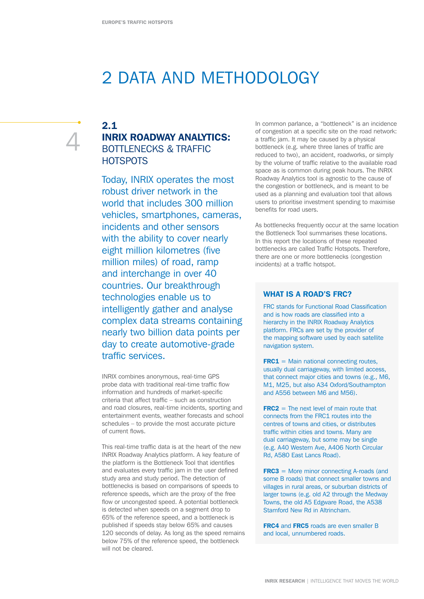# 2 DATA AND METHODOLOGY

## 2.1 INRIX ROADWAY ANALYTICS: BOTTLENECKS & TRAFFIC **HOTSPOTS**

Today, INRIX operates the most robust driver network in the world that includes 300 million vehicles, smartphones, cameras, incidents and other sensors with the ability to cover nearly eight million kilometres (five million miles) of road, ramp and interchange in over 40 countries. Our breakthrough technologies enable us to intelligently gather and analyse complex data streams containing nearly two billion data points per day to create automotive-grade traffic services.

INRIX combines anonymous, real-time GPS probe data with traditional real-time traffic flow information and hundreds of market-specific criteria that affect traffic – such as construction and road closures, real-time incidents, sporting and entertainment events, weather forecasts and school schedules – to provide the most accurate picture of current flows.

This real-time traffic data is at the heart of the new INRIX Roadway Analytics platform. A key feature of the platform is the Bottleneck Tool that identifies and evaluates every traffic jam in the user defined study area and study period. The detection of bottlenecks is based on comparisons of speeds to reference speeds, which are the proxy of the free flow or uncongested speed. A potential bottleneck is detected when speeds on a segment drop to 65% of the reference speed, and a bottleneck is published if speeds stay below 65% and causes 120 seconds of delay. As long as the speed remains below 75% of the reference speed, the bottleneck will not be cleared.

In common parlance, a "bottleneck" is an incidence of congestion at a specific site on the road network: a traffic jam. It may be caused by a physical bottleneck (e.g. where three lanes of traffic are reduced to two), an accident, roadworks, or simply by the volume of traffic relative to the available road space as is common during peak hours. The INRIX Roadway Analytics tool is agnostic to the cause of the congestion or bottleneck, and is meant to be used as a planning and evaluation tool that allows users to prioritise investment spending to maximise benefits for road users.

As bottlenecks frequently occur at the same location the Bottleneck Tool summarises these locations. In this report the locations of these repeated bottlenecks are called Traffic Hotspots. Therefore, there are one or more bottlenecks (congestion incidents) at a traffic hotspot.

#### WHAT IS A ROAD'S FRC?

FRC stands for Functional Road Classification and is how roads are classified into a hierarchy in the INRIX Roadway Analytics platform. FRCs are set by the provider of the mapping software used by each satellite navigation system.

 $FRC1 =$  Main national connecting routes, usually dual carriageway, with limited access, that connect major cities and towns (e.g., M6, M1, M25, but also A34 Oxford/Southampton and A556 between M6 and M56).

 $FRC2 =$  The next level of main route that connects from the FRC1 routes into the centres of towns and cities, or distributes traffic within cities and towns. Many are dual carriageway, but some may be single (e.g. A40 Western Ave, A406 North Circular Rd, A580 East Lancs Road).

FRC3 = More minor connecting A-roads (and some B roads) that connect smaller towns and villages in rural areas, or suburban districts of larger towns (e.g. old A2 through the Medway Towns, the old A5 Edgware Road, the A538 Stamford New Rd in Altrincham.

FRC4 and FRC5 roads are even smaller B and local, unnumbered roads.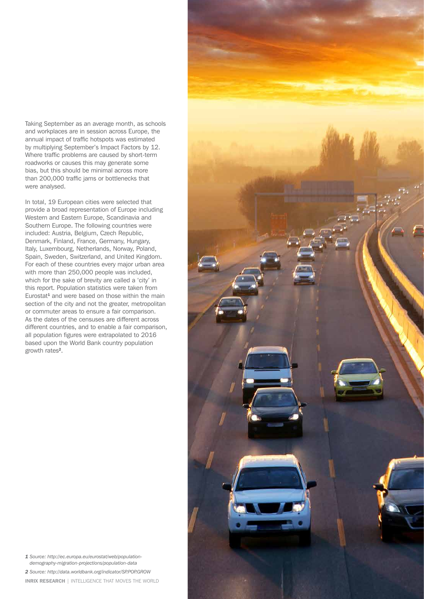Taking September as an average month, as schools and workplaces are in session across Europe, the annual impact of traffic hotspots was estimated by multiplying September's Impact Factors by 12. Where traffic problems are caused by short-term roadworks or causes this may generate some bias, but this should be minimal across more than 200,000 traffic jams or bottlenecks that were analysed.

In total, 19 European cities were selected that provide a broad representation of Europe including Western and Eastern Europe, Scandinavia and Southern Europe. The following countries were included: Austria, Belgium, Czech Republic, Denmark, Finland, France, Germany, Hungary, Italy, Luxembourg, Netherlands, Norway, Poland, Spain, Sweden, Switzerland, and United Kingdom. For each of these countries every major urban area with more than 250,000 people was included, which for the sake of brevity are called a 'city' in this report. Population statistics were taken from  $Eurostat<sup>1</sup>$  and were based on those within the main section of the city and not the greater, metropolitan or commuter areas to ensure a fair comparison. As the dates of the censuses are different across different countries, and to enable a fair comparison, all population figures were extrapolated to 2016 based upon the World Bank country population growth rates<sup>2</sup>.



*1 Source: http://ec.europa.eu/eurostat/web/populationdemography-migration-projections/population-data*

INRIX RESEARCH | INTELLIGENCE THAT MOVES THE WORLD *2 Source: http://data.worldbank.org/indicator/SP.POP.GROW*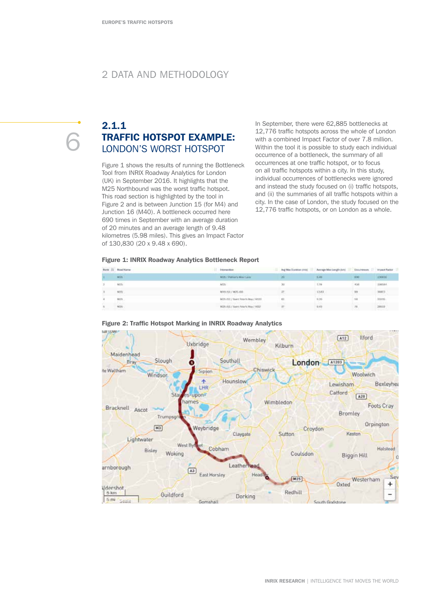#### 2 DATA AND METHODOLOGY

6

## 2.1.1 TRAFFIC HOTSPOT EXAMPLE: LONDON'S WORST HOTSPOT

Figure 1 shows the results of running the Bottleneck Tool from INRIX Roadway Analytics for London (UK) in September 2016. It highlights that the M25 Northbound was the worst traffic hotspot. This road section is highlighted by the tool in Figure 2 and is between Junction 15 (for M4) and Junction 16 (M40). A bottleneck occurred here 690 times in September with an average duration of 20 minutes and an average length of 9.48 kilometres (5.98 miles). This gives an Impact Factor of 130,830 (20 x 9.48 x 690).

In September, there were 62,885 bottlenecks at 12,776 traffic hotspots across the whole of London with a combined Impact Factor of over 7.8 million. Within the tool it is possible to study each individual occurrence of a bottleneck, the summary of all occurrences at one traffic hotspot, or to focus on all traffic hotspots within a city. In this study, individual occurrences of bottlenecks were ignored and instead the study focused on (i) traffic hotspots, and (ii) the summaries of all traffic hotspots within a city. In the case of London, the study focused on the 12,776 traffic hotspots, or on London as a whole.

#### Figure 1: INRIX Roadway Analytics Bottleneck Report

| Rank 11 Road Name<br> | 11 Extendion                      | Avg Max Dunktion (mig) |       |         |                |
|-----------------------|-----------------------------------|------------------------|-------|---------|----------------|
| M25                   | M25 / Palmers Moor Lane           | 251                    | 2,491 | 930     | 130030         |
| M25-                  | M25                               | $30 - 10$              | 7.76  | 456     | ment           |
| M25                   | M49.212.7 M25.108                 |                        | 13.83 | $^{19}$ | 3697.9<br>- 55 |
| M211                  | M25 (11) Sales Peter's Way / A320 |                        | 3.39  | 58      | 33225          |
| M26                   | M25 /11 / Sant Pole/s Way / AS27  | 土                      | 0.63  | 198     | 20115          |



#### Figure 2: Traffic Hotspot Marking in INRIX Roadway Analytics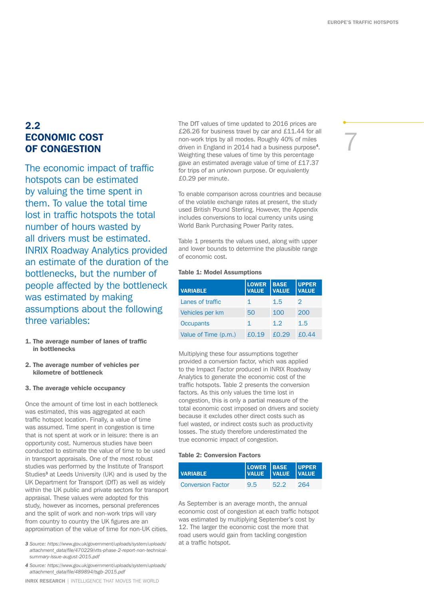7

## 2.2 ECONOMIC COST OF CONGESTION

The economic impact of traffic hotspots can be estimated by valuing the time spent in them. To value the total time lost in traffic hotspots the total number of hours wasted by all drivers must be estimated. INRIX Roadway Analytics provided an estimate of the duration of the bottlenecks, but the number of people affected by the bottleneck was estimated by making assumptions about the following three variables:

- 1. The average number of lanes of traffic in bottlenecks
- 2. The average number of vehicles per kilometre of bottleneck

#### 3. The average vehicle occupancy

Once the amount of time lost in each bottleneck was estimated, this was aggregated at each traffic hotspot location. Finally, a value of time was assumed. Time spent in congestion is time that is not spent at work or in leisure: there is an opportunity cost. Numerous studies have been conducted to estimate the value of time to be used in transport appraisals. One of the most robust studies was performed by the Institute of Transport Studies<sup>3</sup> at Leeds University (UK) and is used by the UK Department for Transport (DfT) as well as widely within the UK public and private sectors for transport appraisal. These values were adopted for this study, however as incomes, personal preferences and the split of work and non-work trips will vary from country to country the UK figures are an approximation of the value of time for non-UK cities.

- *3 Source: https://www.gov.uk/government/uploads/system/uploads/* at a traffic hotspot. *attachment\_data/file/470229/vtts-phase-2-report-non-technicalsummary-issue-august-2015.pdf*
- *4 Source: https://www.gov.uk/government/uploads/system/uploads/ attachment\_data/file/489894/tsgb-2015.pdf*

INRIX RESEARCH | INTELLIGENCE THAT MOVES THE WORLD

The DfT values of time updated to 2016 prices are £26.26 for business travel by car and £11.44 for all non-work trips by all modes. Roughly 40% of miles driven in England in 2014 had a business purpose<sup>4</sup>. Weighting these values of time by this percentage gave an estimated average value of time of £17.37 for trips of an unknown purpose. Or equivalently £0.29 per minute.

To enable comparison across countries and because of the volatile exchange rates at present, the study used British Pound Sterling. However, the Appendix includes conversions to local currency units using World Bank Purchasing Power Parity rates.

Table 1 presents the values used, along with upper and lower bounds to determine the plausible range of economic cost.

#### Table 1: Model Assumptions

| <b>VARIABLE</b>      | <b>LOWER</b><br><b>VALUE</b> | BASE    | <b>UPPER</b><br><b>VALUE</b>                                                                                                                                          |
|----------------------|------------------------------|---------|-----------------------------------------------------------------------------------------------------------------------------------------------------------------------|
| Lanes of traffic     |                              | 1.5     | $\mathcal{D}_{\mathcal{A}}^{\mathcal{A}}(\mathcal{A})=\mathcal{D}_{\mathcal{A}}^{\mathcal{A}}(\mathcal{A})\oplus\mathcal{D}_{\mathcal{A}}^{\mathcal{A}}(\mathcal{A})$ |
| Vehicles per km      | 50                           | 100     | 200                                                                                                                                                                   |
| <b>Occupants</b>     |                              | 12      | 1.5                                                                                                                                                                   |
| Value of Time (p.m.) | f(0.19)                      | f(0.29) | f0 44                                                                                                                                                                 |

Multiplying these four assumptions together provided a conversion factor, which was applied to the Impact Factor produced in INRIX Roadway Analytics to generate the economic cost of the traffic hotspots. Table 2 presents the conversion factors. As this only values the time lost in congestion, this is only a partial measure of the total economic cost imposed on drivers and society because it excludes other direct costs such as fuel wasted, or indirect costs such as productivity losses. The study therefore underestimated the true economic impact of congestion.

#### Table 2: Conversion Factors

| <b>VARIABLE</b>          | LOWER BASE UPPER<br>VALUE VALUE VALUE |                 |        |
|--------------------------|---------------------------------------|-----------------|--------|
| <b>Conversion Factor</b> | $9.5^{\circ}$                         | 52 <sup>2</sup> | $-264$ |

As September is an average month, the annual economic cost of congestion at each traffic hotspot was estimated by multiplying September's cost by 12. The larger the economic cost the more that road users would gain from tackling congestion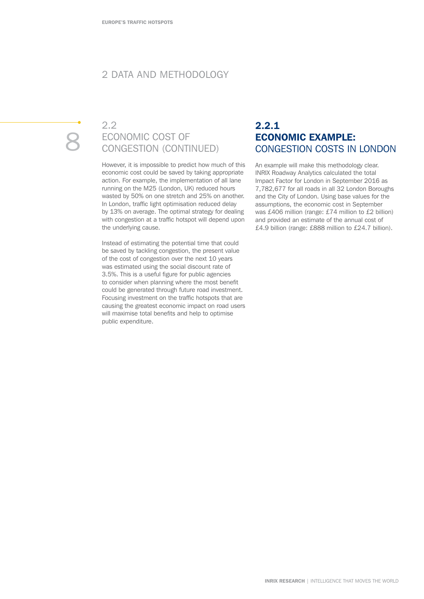#### 2 DATA AND METHODOLOGY

8

## 2.2 ECONOMIC COST OF CONGESTION (CONTINUED)

However, it is impossible to predict how much of this economic cost could be saved by taking appropriate action. For example, the implementation of all lane running on the M25 (London, UK) reduced hours wasted by 50% on one stretch and 25% on another. In London, traffic light optimisation reduced delay by 13% on average. The optimal strategy for dealing with congestion at a traffic hotspot will depend upon the underlying cause.

Instead of estimating the potential time that could be saved by tackling congestion, the present value of the cost of congestion over the next 10 years was estimated using the social discount rate of 3.5%. This is a useful figure for public agencies to consider when planning where the most benefit could be generated through future road investment. Focusing investment on the traffic hotspots that are causing the greatest economic impact on road users will maximise total benefits and help to optimise public expenditure.

### 2.2.1 ECONOMIC EXAMPLE: CONGESTION COSTS IN LONDON

An example will make this methodology clear. INRIX Roadway Analytics calculated the total Impact Factor for London in September 2016 as 7,782,677 for all roads in all 32 London Boroughs and the City of London. Using base values for the assumptions, the economic cost in September was £406 million (range: £74 million to £2 billion) and provided an estimate of the annual cost of £4.9 billion (range: £888 million to £24.7 billion).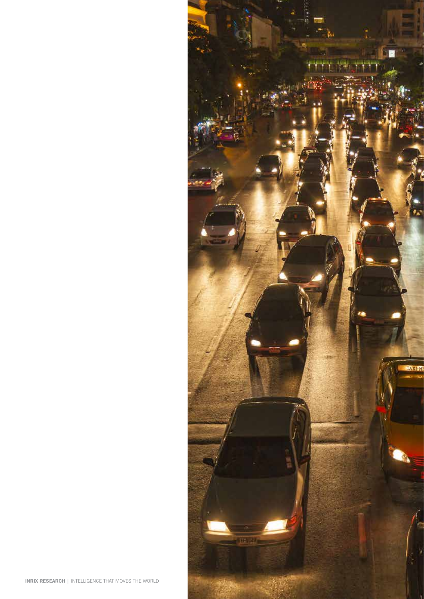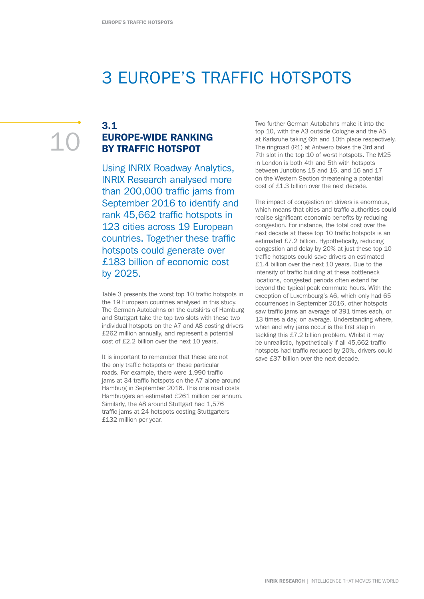# 3 EUROPE'S TRAFFIC HOTSPOTS

10

## 3.1 EUROPE-WIDE RANKING BY TRAFFIC HOTSPOT

Using INRIX Roadway Analytics, INRIX Research analysed more than 200,000 traffic jams from September 2016 to identify and rank 45,662 traffic hotspots in 123 cities across 19 European countries. Together these traffic hotspots could generate over £183 billion of economic cost by 2025.

Table 3 presents the worst top 10 traffic hotspots in the 19 European countries analysed in this study. The German Autobahns on the outskirts of Hamburg and Stuttgart take the top two slots with these two individual hotspots on the A7 and A8 costing drivers £262 million annually, and represent a potential cost of £2.2 billion over the next 10 years.

It is important to remember that these are not the only traffic hotspots on these particular roads. For example, there were 1,990 traffic jams at 34 traffic hotspots on the A7 alone around Hamburg in September 2016. This one road costs Hamburgers an estimated £261 million per annum. Similarly, the A8 around Stuttgart had 1,576 traffic jams at 24 hotspots costing Stuttgarters £132 million per year.

Two further German Autobahns make it into the top 10, with the A3 outside Cologne and the A5 at Karlsruhe taking 6th and 10th place respectively. The ringroad (R1) at Antwerp takes the 3rd and 7th slot in the top 10 of worst hotspots. The M25 in London is both 4th and 5th with hotspots between Junctions 15 and 16, and 16 and 17 on the Western Section threatening a potential cost of £1.3 billion over the next decade.

The impact of congestion on drivers is enormous, which means that cities and traffic authorities could realise significant economic benefits by reducing congestion. For instance, the total cost over the next decade at these top 10 traffic hotspots is an estimated £7.2 billion. Hypothetically, reducing congestion and delay by 20% at just these top 10 traffic hotspots could save drivers an estimated £1.4 billion over the next 10 years. Due to the intensity of traffic building at these bottleneck locations, congested periods often extend far beyond the typical peak commute hours. With the exception of Luxembourg's A6, which only had 65 occurrences in September 2016, other hotspots saw traffic jams an average of 391 times each, or 13 times a day, on average. Understanding where, when and why jams occur is the first step in tackling this £7.2 billion problem. Whilst it may be unrealistic, hypothetically if all 45,662 traffic hotspots had traffic reduced by 20%, drivers could save £37 billion over the next decade.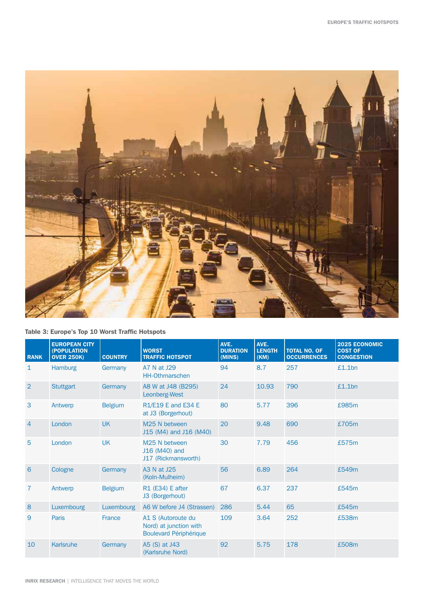

Table 3: Europe's Top 10 Worst Traffic Hotspots

| <b>RANK</b>    | <b>EUROPEAN CITY</b><br>(POPULATION<br><b>OVER 250K)</b> | <b>COUNTRY</b> | <b>WORST</b><br><b>TRAFFIC HOTSPOT</b>                                        | AVE.<br><b>DURATION</b><br>(MINS) | AVE.<br><b>LENGTH</b><br>(KM) | <b>TOTAL NO. OF</b><br><b>OCCURRENCES</b> | 2025 ECONOMIC<br><b>COST OF</b><br><b>CONGESTION</b> |
|----------------|----------------------------------------------------------|----------------|-------------------------------------------------------------------------------|-----------------------------------|-------------------------------|-------------------------------------------|------------------------------------------------------|
| $\mathbf{1}$   | Hamburg                                                  | Germany        | A7 N at J29<br><b>HH-Othmarschen</b>                                          | 94                                | 8.7                           | 257                                       | £1.1bn                                               |
| $\overline{2}$ | <b>Stuttgart</b>                                         | Germany        | A8 W at J48 (B295)<br>Leonberg-West                                           | 24                                | 10.93                         | 790                                       | £1.1bn                                               |
| 3              | Antwerp                                                  | <b>Belgium</b> | R1/E19 E and E34 E<br>at J3 (Borgerhout)                                      | 80                                | 5.77                          | 396                                       | £985m                                                |
| $\overline{4}$ | London                                                   | <b>UK</b>      | M25 N between<br>J15 (M4) and J16 (M40)                                       | 20                                | 9.48                          | 690                                       | £705m                                                |
| $\overline{5}$ | London                                                   | <b>UK</b>      | M25 N between<br>J16 (M40) and<br>J17 (Rickmansworth)                         | 30                                | 7.79                          | 456                                       | £575m                                                |
| 6              | Cologne                                                  | Germany        | A3 N at J25<br>(Koln-Mulheim)                                                 | 56                                | 6.89                          | 264                                       | £549m                                                |
| $\overline{7}$ | Antwerp                                                  | <b>Belgium</b> | R1 (E34) E after<br>J3 (Borgerhout)                                           | 67                                | 6.37                          | 237                                       | £545m                                                |
| 8              | Luxembourg                                               | Luxembourg     | A6 W before J4 (Strassen)                                                     | 286                               | 5.44                          | 65                                        | £545m                                                |
| 9              | Paris                                                    | France         | A1 S (Autoroute du<br>Nord) at junction with<br><b>Boulevard Périphérique</b> | 109                               | 3.64                          | 252                                       | £538m                                                |
| 10             | Karlsruhe                                                | Germany        | A5 (S) at J43<br>(Karlsruhe Nord)                                             | 92                                | 5.75                          | 178                                       | £508m                                                |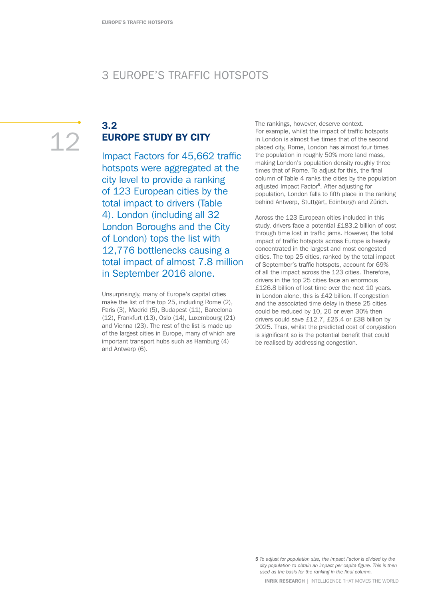# 3 EUROPE'S TRAFFIC HOTSPOTS

# 12

## 3.2 EUROPE STUDY BY CITY

Impact Factors for 45,662 traffic hotspots were aggregated at the city level to provide a ranking of 123 European cities by the total impact to drivers (Table 4). London (including all 32 London Boroughs and the City of London) tops the list with 12,776 bottlenecks causing a total impact of almost 7.8 million in September 2016 alone.

Unsurprisingly, many of Europe's capital cities make the list of the top 25, including Rome (2), Paris (3), Madrid (5), Budapest (11), Barcelona (12), Frankfurt (13), Oslo (14), Luxembourg (21) and Vienna (23). The rest of the list is made up of the largest cities in Europe, many of which are important transport hubs such as Hamburg (4) and Antwerp (6).

The rankings, however, deserve context. For example, whilst the impact of traffic hotspots in London is almost five times that of the second placed city, Rome, London has almost four times the population in roughly 50% more land mass, making London's population density roughly three times that of Rome. To adjust for this, the final column of Table 4 ranks the cities by the population adjusted Impact Factor5. After adjusting for population, London falls to fifth place in the ranking behind Antwerp, Stuttgart, Edinburgh and Zürich.

Across the 123 European cities included in this study, drivers face a potential £183.2 billion of cost through time lost in traffic jams. However, the total impact of traffic hotspots across Europe is heavily concentrated in the largest and most congested cities. The top 25 cities, ranked by the total impact of September's traffic hotspots, account for 69% of all the impact across the 123 cities. Therefore, drivers in the top 25 cities face an enormous £126.8 billion of lost time over the next 10 years. In London alone, this is £42 billion. If congestion and the associated time delay in these 25 cities could be reduced by 10, 20 or even 30% then drivers could save £12.7, £25.4 or £38 billion by 2025. Thus, whilst the predicted cost of congestion is significant so is the potential benefit that could be realised by addressing congestion.

*5 To adjust for population size, the Impact Factor is divided by the city population to obtain an impact per capita figure. This is then used as the basis for the ranking in the final column.*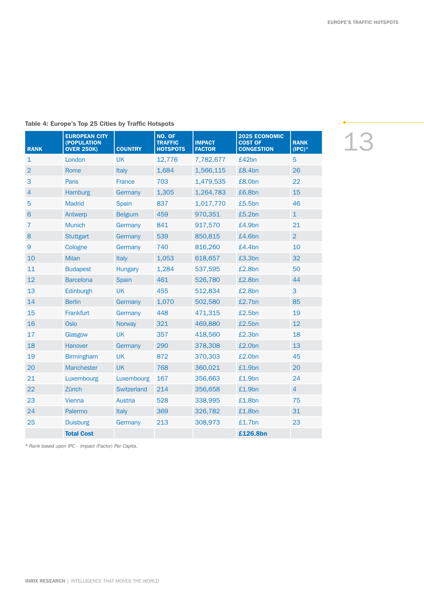13

| <b>RANK</b>    | <b>EUROPEAN CITY</b><br>(POPULATION<br><b>OVER 250K)</b> | <b>COUNTRY</b> | NO. OF<br><b>TRAFFIC</b><br><b>HOTSPOTS</b> | <b>IMPACT</b><br><b>FACTOR</b> | <b>2025 ECONOMIC</b><br><b>COST OF</b><br><b>CONGESTION</b> | <b>RANK</b><br>$(IPC)^*$ |
|----------------|----------------------------------------------------------|----------------|---------------------------------------------|--------------------------------|-------------------------------------------------------------|--------------------------|
| 1              | London                                                   | <b>UK</b>      | 12,776                                      | 7,782,677                      | £42bn                                                       | 5                        |
| $\overline{2}$ | Rome                                                     | Italy          | 1,684                                       | 1,566,115                      | £8.4bn                                                      | 26                       |
| 3              | Paris                                                    | <b>France</b>  | 703                                         | 1,479,535                      | £8.0bn                                                      | 22                       |
| $\overline{4}$ | <b>Hamburg</b>                                           | Germany        | 1,305                                       | 1,264,783                      | £6.8bn                                                      | 15                       |
| 5              | <b>Madrid</b>                                            | <b>Spain</b>   | 837                                         | 1,017,770                      | £5.5bn                                                      | 46                       |
| 6              | Antwerp                                                  | <b>Belgium</b> | 459                                         | 970,351                        | £5.2bn                                                      | $\mathbf{1}$             |
| 7              | <b>Munich</b>                                            | Germany        | 841                                         | 917,570                        | £4.9bn                                                      | 21                       |
| 8              | <b>Stuttgart</b>                                         | Germany        | 539                                         | 850,815                        | £4.6bn                                                      | $\overline{2}$           |
| $9\,$          | Cologne                                                  | Germany        | 740                                         | 816,260                        | £4.4bn                                                      | 10                       |
| 10             | <b>Milan</b>                                             | Italy          | 1,053                                       | 618,657                        | £3.3bn                                                      | 32                       |
| 11             | <b>Budapest</b>                                          | Hungary        | 1,284                                       | 537,595                        | £2.8bn                                                      | 50                       |
| 12             | <b>Barcelona</b>                                         | <b>Spain</b>   | 461                                         | 526,780                        | £2.8bn                                                      | 44                       |
| 13             | Edinburgh                                                | <b>UK</b>      | 455                                         | 512,834                        | £2.8bn                                                      | 3                        |
| 14             | <b>Berlin</b>                                            | Germany        | 1,070                                       | 502,580                        | £2.7bn                                                      | 85                       |
| 15             | Frankfurt                                                | Germany        | 448                                         | 471,315                        | £2.5bn                                                      | 19                       |
| 16             | <b>Oslo</b>                                              | <b>Norway</b>  | 321                                         | 469,880                        | £2.5bn                                                      | 12                       |
| 17             | Glasgow                                                  | <b>UK</b>      | 357                                         | 418,560                        | £2.3bn                                                      | 18                       |
| 18             | <b>Hanover</b>                                           | Germany        | 290                                         | 378,308                        | £2.0bn                                                      | 13                       |
| 19             | <b>Birmingham</b>                                        | <b>UK</b>      | 872                                         | 370,303                        | £2.0bn                                                      | 45                       |
| 20             | Manchester                                               | <b>UK</b>      | 768                                         | 360,021                        | £1.9bn                                                      | 20                       |
| 21             | Luxembourg                                               | Luxembourg     | 167                                         | 356,663                        | £1.9bn                                                      | 24                       |
| 22             | Zürich                                                   | Switzerland    | 214                                         | 356,658                        | £1.9bn                                                      | $\overline{4}$           |
| 23             | Vienna                                                   | Austria        | 528                                         | 338,995                        | £1.8bn                                                      | 75                       |
| 24             | Palermo                                                  | Italy          | 369                                         | 326,782                        | £1.8bn                                                      | 31                       |
| 25             | <b>Duisburg</b>                                          | Germany        | 213                                         | 308,973                        | £1.7bn                                                      | 23                       |
|                | <b>Total Cost</b>                                        |                |                                             |                                | £126.8bn                                                    |                          |

#### Table 4: Europe's Top 25 Cities by Traffic Hotspots

*\* Rank based upon IPC – Impact (Factor) Per Capita.*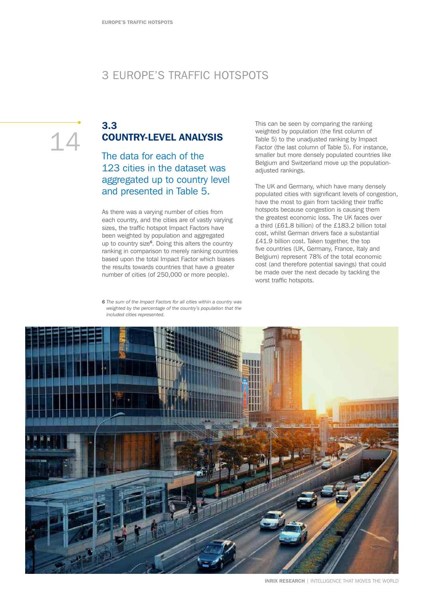# 3 EUROPE'S TRAFFIC HOTSPOTS

14

## 3.3 COUNTRY-LEVEL ANALYSIS

The data for each of the 123 cities in the dataset was aggregated up to country level and presented in Table 5.

As there was a varying number of cities from each country, and the cities are of vastly varying sizes, the traffic hotspot Impact Factors have been weighted by population and aggregated up to country size<sup>6</sup>. Doing this alters the country ranking in comparison to merely ranking countries based upon the total Impact Factor which biases the results towards countries that have a greater number of cities (of 250,000 or more people).

This can be seen by comparing the ranking weighted by population (the first column of Table 5) to the unadjusted ranking by Impact Factor (the last column of Table 5). For instance, smaller but more densely populated countries like Belgium and Switzerland move up the populationadjusted rankings.

The UK and Germany, which have many densely populated cities with significant levels of congestion, have the most to gain from tackling their traffic hotspots because congestion is causing them the greatest economic loss. The UK faces over a third (£61.8 billion) of the £183.2 billion total cost, whilst German drivers face a substantial £41.9 billion cost. Taken together, the top five countries (UK, Germany, France, Italy and Belgium) represent 78% of the total economic cost (and therefore potential savings) that could be made over the next decade by tackling the worst traffic hotspots.



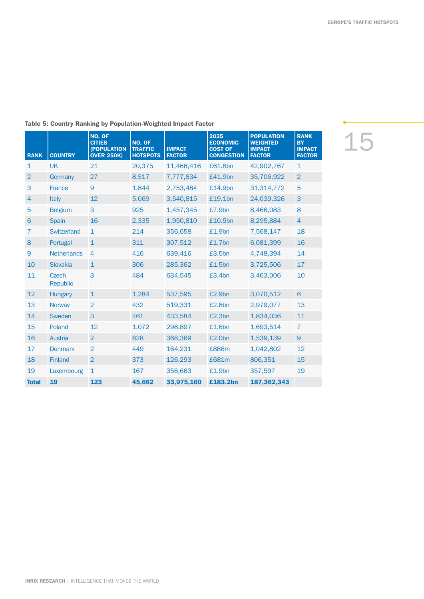| <b>RANK</b>     | <b>COUNTRY</b>           | NO. OF<br><b>CITIES</b><br>(POPULATION<br><b>OVER 250K)</b> | NO. OF<br><b>TRAFFIC</b><br><b>HOTSPOTS</b> | <b>IMPACT</b><br><b>FACTOR</b> | 2025<br><b>ECONOMIC</b><br><b>COST OF</b><br><b>CONGESTION</b> | <b>POPULATION</b><br><b>WEIGHTED</b><br><b>IMPACT</b><br><b>FACTOR</b> | <b>RANK</b><br><b>BY</b><br><b>IMPACT</b><br><b>FACTOR</b> |
|-----------------|--------------------------|-------------------------------------------------------------|---------------------------------------------|--------------------------------|----------------------------------------------------------------|------------------------------------------------------------------------|------------------------------------------------------------|
| $\mathbf{1}$    | <b>UK</b>                | 21                                                          | 20,375                                      | 11,466,416                     | £61.8bn                                                        | 42,902,767                                                             | $\mathbf{1}$                                               |
| $\overline{2}$  | Germany                  | 27                                                          | 8,517                                       | 7,777,834                      | £41.9bn                                                        | 35,706,922                                                             | $\overline{2}$                                             |
| 3               | <b>France</b>            | 9                                                           | 1,844                                       | 2,753,484                      | £14.9bn                                                        | 31,314,772                                                             | 5                                                          |
| $\overline{4}$  | Italy                    | 12                                                          | 5,069                                       | 3,540,815                      | £19.1bn                                                        | 24,039,326                                                             | 3                                                          |
| 5               | <b>Belgium</b>           | 3                                                           | 925                                         | 1,457,345                      | £7.9bn                                                         | 8,466,083                                                              | 8                                                          |
| $6\phantom{1}6$ | <b>Spain</b>             | 16                                                          | 2,335                                       | 1,950,810                      | £10.5bn                                                        | 8,295,884                                                              | $\overline{4}$                                             |
| $\overline{7}$  | Switzerland              | $\mathbf{1}$                                                | 214                                         | 356,658                        | £1.9bn                                                         | 7.568.147                                                              | 18                                                         |
| 8               | Portugal                 | $\mathbf{1}$                                                | 311                                         | 307,512                        | £1.7bn                                                         | 6,081,399                                                              | 16                                                         |
| 9               | <b>Netherlands</b>       | 4                                                           | 416                                         | 639,416                        | £3.5bn                                                         | 4,748,394                                                              | 14                                                         |
| 10              | Slovakia                 | $\mathbf{1}$                                                | 306                                         | 285,362                        | £1.5bn                                                         | 3,725,506                                                              | 17                                                         |
| 11              | Czech<br><b>Republic</b> | 3                                                           | 484                                         | 634.545                        | £3.4bn                                                         | 3,463,006                                                              | 10                                                         |
| 12              | Hungary                  | $\mathbf{1}$                                                | 1,284                                       | 537,595                        | £2.9bn                                                         | 3,070,512                                                              | $6\phantom{1}$                                             |
| 13              | Norway                   | $\overline{2}$                                              | 432                                         | 519,331                        | £2.8bn                                                         | 2,979,077                                                              | 13                                                         |
| 14              | Sweden                   | 3                                                           | 461                                         | 433,584                        | £2.3bn                                                         | 1,834,036                                                              | 11                                                         |
| 15              | Poland                   | 12                                                          | 1,072                                       | 298,897                        | £1.6bn                                                         | 1,693,514                                                              | $\overline{7}$                                             |
| 16              | Austria                  | $\overline{2}$                                              | 628                                         | 368,369                        | £2.0bn                                                         | 1,539,139                                                              | 9                                                          |
| 17              | <b>Denmark</b>           | $\overline{2}$                                              | 449                                         | 164,231                        | £886m                                                          | 1,042,802                                                              | 12                                                         |
| 18              | <b>Finland</b>           | $\overline{2}$                                              | 373                                         | 126,293                        | £681m                                                          | 806,351                                                                | 15                                                         |
| 19              | Luxembourg               | $\mathbf{1}$                                                | 167                                         | 356,663                        | £1.9bn                                                         | 357,597                                                                | 19                                                         |
| <b>Total</b>    | 19                       | 123                                                         | 45,662                                      | 33,975,160                     | £183.2bn                                                       | 187,362,343                                                            |                                                            |

#### Table 5: Country Ranking by Population-Weighted Impact Factor

15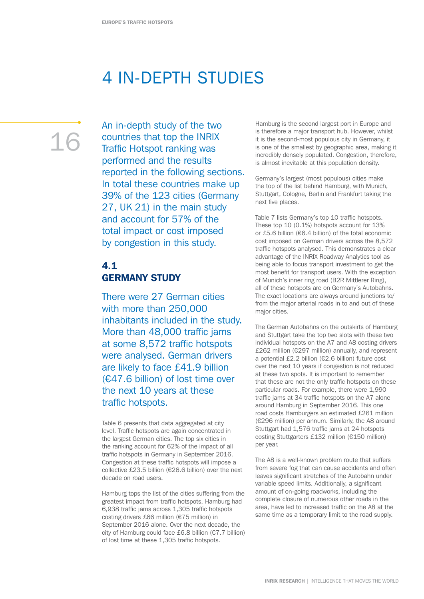# 4 IN-DEPTH STUDIES

16

An in-depth study of the two countries that top the INRIX Traffic Hotspot ranking was performed and the results reported in the following sections. In total these countries make up 39% of the 123 cities (Germany 27, UK 21) in the main study and account for 57% of the total impact or cost imposed by congestion in this study.

## 4.1 GERMANY STUDY

There were 27 German cities with more than 250,000 inhabitants included in the study. More than 48,000 traffic jams at some 8,572 traffic hotspots were analysed. German drivers are likely to face £41.9 billion (€47.6 billion) of lost time over the next 10 years at these traffic hotspots.

Table 6 presents that data aggregated at city level. Traffic hotspots are again concentrated in the largest German cities. The top six cities in the ranking account for 62% of the impact of all traffic hotspots in Germany in September 2016. Congestion at these traffic hotspots will impose a collective £23.5 billion (€26.6 billion) over the next decade on road users.

Hamburg tops the list of the cities suffering from the greatest impact from traffic hotspots. Hamburg had 6,938 traffic jams across 1,305 traffic hotspots costing drivers £66 million (€75 million) in September 2016 alone. Over the next decade, the city of Hamburg could face £6.8 billion (€7.7 billion) of lost time at these 1,305 traffic hotspots.

Hamburg is the second largest port in Europe and is therefore a major transport hub. However, whilst it is the second-most populous city in Germany, it is one of the smallest by geographic area, making it incredibly densely populated. Congestion, therefore, is almost inevitable at this population density.

Germany's largest (most populous) cities make the top of the list behind Hamburg, with Munich, Stuttgart, Cologne, Berlin and Frankfurt taking the next five places.

Table 7 lists Germany's top 10 traffic hotspots. These top 10 (0.1%) hotspots account for 13% or £5.6 billion (€6.4 billion) of the total economic cost imposed on German drivers across the 8,572 traffic hotspots analysed. This demonstrates a clear advantage of the INRIX Roadway Analytics tool as being able to focus transport investment to get the most benefit for transport users. With the exception of Munich's inner ring road (B2R Mittlerer Ring), all of these hotspots are on Germany's Autobahns. The exact locations are always around junctions to/ from the major arterial roads in to and out of these major cities.

The German Autobahns on the outskirts of Hamburg and Stuttgart take the top two slots with these two individual hotspots on the A7 and A8 costing drivers £262 million (€297 million) annually, and represent a potential £2.2 billion (€2.6 billion) future cost over the next 10 years if congestion is not reduced at these two spots. It is important to remember that these are not the only traffic hotspots on these particular roads. For example, there were 1,990 traffic jams at 34 traffic hotspots on the A7 alone around Hamburg in September 2016. This one road costs Hamburgers an estimated £261 million (€296 million) per annum. Similarly, the A8 around Stuttgart had 1,576 traffic jams at 24 hotspots costing Stuttgarters £132 million (€150 million) per year.

The A8 is a well-known problem route that suffers from severe fog that can cause accidents and often leaves significant stretches of the Autobahn under variable speed limits. Additionally, a significant amount of on-going roadworks, including the complete closure of numerous other roads in the area, have led to increased traffic on the A8 at the same time as a temporary limit to the road supply.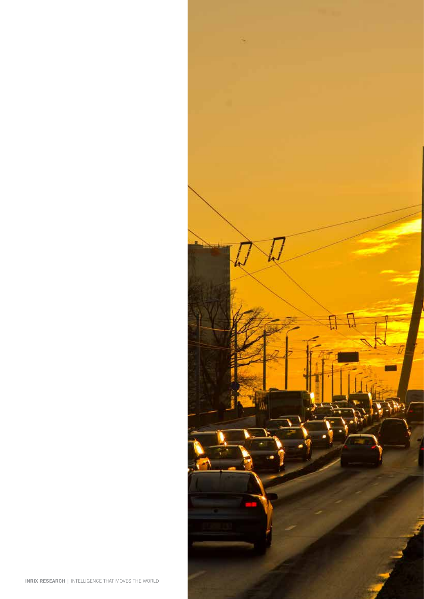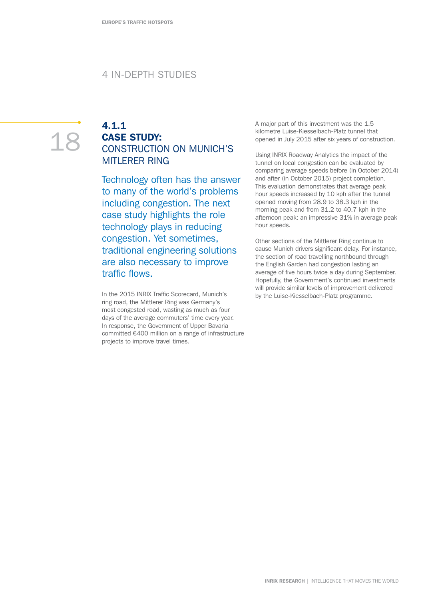#### 4 IN-DEPTH STUDIES

# 18

## 4.1.1 CASE STUDY: CONSTRUCTION ON MUNICH'S **MITLERER RING**

Technology often has the answer to many of the world's problems including congestion. The next case study highlights the role technology plays in reducing congestion. Yet sometimes, traditional engineering solutions are also necessary to improve traffic flows.

In the 2015 INRIX Traffic Scorecard, Munich's ring road, the Mittlerer Ring was Germany's most congested road, wasting as much as four days of the average commuters' time every year. In response, the Government of Upper Bavaria committed €400 million on a range of infrastructure projects to improve travel times.

A major part of this investment was the 1.5 kilometre Luise-Kiesselbach-Platz tunnel that opened in July 2015 after six years of construction.

Using INRIX Roadway Analytics the impact of the tunnel on local congestion can be evaluated by comparing average speeds before (in October 2014) and after (in October 2015) project completion. This evaluation demonstrates that average peak hour speeds increased by 10 kph after the tunnel opened moving from 28.9 to 38.3 kph in the morning peak and from 31.2 to 40.7 kph in the afternoon peak: an impressive 31% in average peak hour speeds.

Other sections of the Mittlerer Ring continue to cause Munich drivers significant delay. For instance, the section of road travelling northbound through the English Garden had congestion lasting an average of five hours twice a day during September. Hopefully, the Government's continued investments will provide similar levels of improvement delivered by the Luise-Kiesselbach-Platz programme.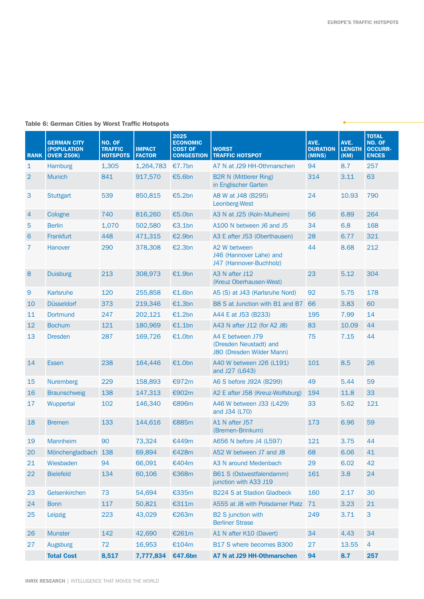#### Table 6: German Cities by Worst Traffic Hotspots

| <b>RANK</b>    | <b>GERMAN CITY</b><br>(POPULATION<br><b>OVER 250K)</b> | NO. OF<br><b>TRAFFIC</b><br><b>HOTSPOTS</b> | <b>IMPACT</b><br><b>FACTOR</b> | 2025<br><b>ECONOMIC</b><br><b>COST OF</b><br><b>CONGESTION</b> | <b>WORST</b><br><b>TRAFFIC HOTSPOT</b>                                         | AVE.<br><b>DURATION</b><br>(MINS) | AVE.<br><b>LENGTH</b><br>(KM) | <b>TOTAL</b><br>NO. OF<br><b>OCCURR-</b><br><b>ENCES</b> |
|----------------|--------------------------------------------------------|---------------------------------------------|--------------------------------|----------------------------------------------------------------|--------------------------------------------------------------------------------|-----------------------------------|-------------------------------|----------------------------------------------------------|
| $\mathbf{1}$   | Hamburg                                                | 1,305                                       | 1,264,783                      | €7.7bn                                                         | A7 N at J29 HH-Othmarschen                                                     | 94                                | 8.7                           | 257                                                      |
| $\overline{2}$ | <b>Munich</b>                                          | 841                                         | 917,570                        | €5.6bn                                                         | <b>B2R N (Mittlerer Ring)</b><br>in Englischer Garten                          | 314                               | 3.11                          | 63                                                       |
| 3              | <b>Stuttgart</b>                                       | 539                                         | 850,815                        | €5.2bn                                                         | A8 W at J48 (B295)<br>Leonberg-West                                            | 24                                | 10.93                         | 790                                                      |
| $\overline{4}$ | Cologne                                                | 740                                         | 816,260                        | €5.0bn                                                         | A3 N at J25 (Koln-Mulheim)                                                     | 56                                | 6.89                          | 264                                                      |
| 5              | <b>Berlin</b>                                          | 1,070                                       | 502,580                        | €3.1bn                                                         | A100 N between J6 and J5                                                       | 34                                | 6.8                           | 168                                                      |
| 6              | Frankfurt                                              | 448                                         | 471,315                        | €2.9bn                                                         | A3 E after J53 (Oberthausen)                                                   | 28                                | 6.77                          | 321                                                      |
| $\overline{7}$ | Hanover                                                | 290                                         | 378,308                        | €2.3bn                                                         | A <sub>2</sub> W between<br>J46 (Hannover Lahe) and<br>J47 (Hannover-Buchholz) | 44                                | 8.68                          | 212                                                      |
| 8              | <b>Duisburg</b>                                        | 213                                         | 308,973                        | €1.9bn                                                         | A3 N after J12<br>(Kreuz Oberhausen-West)                                      | 23                                | 5.12                          | 304                                                      |
| 9              | Karlsruhe                                              | 120                                         | 255,858                        | €1.6bn                                                         | A5 (S) at J43 (Karlsruhe Nord)                                                 | 92                                | 5.75                          | 178                                                      |
| 10             | <b>Düsseldorf</b>                                      | 373                                         | 219,346                        | €1.3bn                                                         | B8 S at Junction with B1 and B7 66                                             |                                   | 3.83                          | 60                                                       |
| 11             | <b>Dortmund</b>                                        | 247                                         | 202,121                        | €1.2bn                                                         | A44 E at J53 (B233)                                                            | 195                               | 7.99                          | 14                                                       |
| 12             | <b>Bochum</b>                                          | 121                                         | 180,969                        | €1.1bn                                                         | A43 N after J12 (for A2 J8)                                                    | 83                                | 10.09                         | 44                                                       |
| 13             | <b>Dresden</b>                                         | 287                                         | 169,726                        | €1.0bn                                                         | A4 E between J79<br>(Dresden Neustadt) and<br>J80 (Dresden Wilder Mann)        | 75                                | 7.15                          | 44                                                       |
| 14             | Essen                                                  | 238                                         | 164,446                        | €1.0bn                                                         | A40 W between J26 (L191)<br>and J27 (L643)                                     | 101                               | 8.5                           | 26                                                       |
| 15             | Nuremberg                                              | 229                                         | 158,893                        | €972m                                                          | A6 S before J92A (B299)                                                        | 49                                | 5.44                          | 59                                                       |
| 16             | <b>Braunschweig</b>                                    | 138                                         | 147,313                        | €902m                                                          | A2 E after J58 (Kreuz-Wolfsburg)                                               | 194                               | 11.8                          | 33                                                       |
| 17             | Wuppertal                                              | 102                                         | 146,340                        | €896m                                                          | A46 W between J33 (L429)<br>and J34 (L70)                                      | 33                                | 5.62                          | 121                                                      |
| 18             | <b>Bremen</b>                                          | 133                                         | 144,616                        | €885m                                                          | A1 N after J57<br>(Bremen-Brinkum)                                             | 173                               | 6.96                          | 59                                                       |
| 19             | Mannheim                                               | 90                                          | 73,324                         | €449m                                                          | A656 N before J4 (L597)                                                        | 121                               | 3.75                          | 44                                                       |
| 20             | Mönchengladbach 138                                    |                                             | 69,894                         | €428m                                                          | A52 W between J7 and J8                                                        | 68                                | 6.06                          | 41                                                       |
| 21             | Wiesbaden                                              | 94                                          | 66,091                         | €404m                                                          | A3 N around Medenbach                                                          | 29                                | 6.02                          | 42                                                       |
| 22             | <b>Bielefeld</b>                                       | 134                                         | 60,106                         | €368m                                                          | B61 S (Ostwestfalendamm)<br>junction with A33 J19                              | 161                               | 3.8                           | 24                                                       |
| 23             | Gelsenkirchen                                          | 73                                          | 54,694                         | €335m                                                          | <b>B224 S at Stadion Gladbeck</b>                                              | 160                               | 2.17                          | 30                                                       |
| 24             | <b>Bonn</b>                                            | 117                                         | 50,821                         | €311m                                                          | A555 at J8 with Potsdamer Platz                                                | 71                                | 3.23                          | 21                                                       |
| 25             | Leipzig                                                | 223                                         | 43,029                         | €263m                                                          | <b>B2 S</b> junction with<br><b>Berliner Strase</b>                            | 249                               | 3.71                          | 3                                                        |
| 26             | <b>Munster</b>                                         | 142                                         | 42,690                         | €261m                                                          | A1 N after K10 (Davert)                                                        | 34                                | 4.43                          | 34                                                       |
| 27             | Augsburg                                               | 72                                          | 16,953                         | €104m                                                          | B17 S where becomes B300                                                       | 27                                | 13.55                         | 4                                                        |
|                | <b>Total Cost</b>                                      | 8,517                                       | 7,777,834 €47.6bn              |                                                                | A7 N at J29 HH-Othmarschen                                                     | 94                                | 8.7                           | 257                                                      |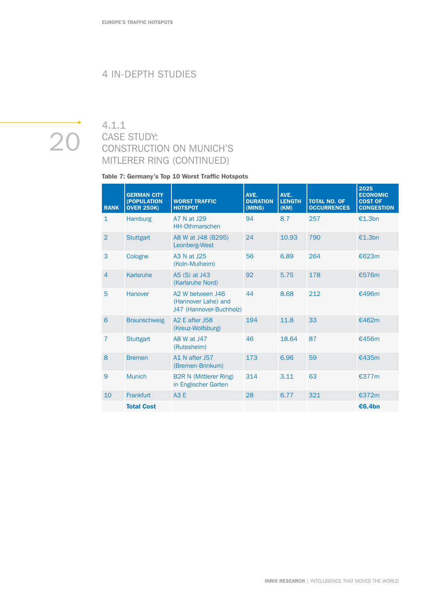## 4 IN-DEPTH STUDIES

# 20 CASE STUDY: 4.1.1 CONSTRUCTION ON MUNICH'S MITLERER RING (CONTINUED)

#### Table 7: Germany's Top 10 Worst Traffic Hotspots

| <b>RANK</b>    | <b>GERMAN CITY</b><br>(POPULATION<br><b>OVER 250K)</b> | <b>WORST TRAFFIC</b><br><b>HOTSPOT</b>                             | AVE.<br><b>DURATION</b><br>(MINS) | AVE.<br><b>LENGTH</b><br>(KM) | <b>TOTAL NO. OF</b><br><b>OCCURRENCES</b> | 2025<br><b>ECONOMIC</b><br><b>COST OF</b><br><b>CONGESTION</b> |
|----------------|--------------------------------------------------------|--------------------------------------------------------------------|-----------------------------------|-------------------------------|-------------------------------------------|----------------------------------------------------------------|
| $\mathbf{1}$   | <b>Hamburg</b>                                         | A7 N at J29<br><b>HH-Othmarschen</b>                               | 94                                | 8.7                           | 257                                       | €1.3bn                                                         |
| $\overline{2}$ | <b>Stuttgart</b>                                       | A8 W at J48 (B295)<br>Leonberg-West                                | 24                                | 10.93                         | 790                                       | £1.3bn                                                         |
| 3              | Cologne                                                | A3 N at J25<br>(Koln-Mulheim)                                      | 56                                | 6.89                          | 264                                       | €623m                                                          |
| $\overline{4}$ | Karlsruhe                                              | A5 (S) at J43<br>(Karlsruhe Nord)                                  | 92                                | 5.75                          | 178                                       | €576m                                                          |
| 5              | Hanover                                                | A2 W between J46<br>(Hannover Lahe) and<br>J47 (Hannover-Buchholz) | 44                                | 8.68                          | 212                                       | €496m                                                          |
| 6              | <b>Braunschweig</b>                                    | A <sub>2</sub> E after J <sub>58</sub><br>(Kreuz-Wolfsburg)        | 194                               | 11.8                          | 33                                        | €462m                                                          |
| $\overline{7}$ | <b>Stuttgart</b>                                       | A8 W at J47<br>(Rutesheim)                                         | 46                                | 18.64                         | 87                                        | €456m                                                          |
| 8              | <b>Bremen</b>                                          | A1 N after J57<br>(Bremen-Brinkum)                                 | 173                               | 6.96                          | 59                                        | €435m                                                          |
| 9              | <b>Munich</b>                                          | <b>B2R N (Mittlerer Ring)</b><br>in Englischer Garten              | 314                               | 3.11                          | 63                                        | €377m                                                          |
| 10             | Frankfurt                                              | <b>A3 E</b>                                                        | 28                                | 6.77                          | 321                                       | €372m                                                          |
|                | <b>Total Cost</b>                                      |                                                                    |                                   |                               |                                           | €6.4bn                                                         |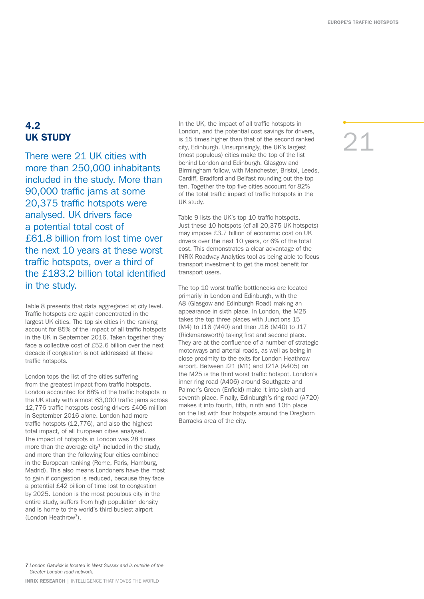# 4.2 UK STUDY

There were 21 UK cities with more than 250,000 inhabitants included in the study. More than 90,000 traffic jams at some 20,375 traffic hotspots were analysed. UK drivers face a potential total cost of £61.8 billion from lost time over the next 10 years at these worst traffic hotspots, over a third of the £183.2 billion total identified in the study.

Table 8 presents that data aggregated at city level. Traffic hotspots are again concentrated in the largest UK cities. The top six cities in the ranking account for 85% of the impact of all traffic hotspots in the UK in September 2016. Taken together they face a collective cost of £52.6 billion over the next decade if congestion is not addressed at these traffic hotspots.

London tops the list of the cities suffering from the greatest impact from traffic hotspots. London accounted for 68% of the traffic hotspots in the UK study with almost 63,000 traffic jams across 12,776 traffic hotspots costing drivers £406 million in September 2016 alone. London had more traffic hotspots (12,776), and also the highest total impact, of all European cities analysed. The impact of hotspots in London was 28 times more than the average city<sup>7</sup> included in the study, and more than the following four cities combined in the European ranking (Rome, Paris, Hamburg, Madrid). This also means Londoners have the most to gain if congestion is reduced, because they face a potential £42 billion of time lost to congestion by 2025. London is the most populous city in the entire study, suffers from high population density and is home to the world's third busiest airport (London Heathrow7).

In the UK, the impact of all traffic hotspots in London, and the potential cost savings for drivers, is 15 times higher than that of the second ranked city, Edinburgh. Unsurprisingly, the UK's largest (most populous) cities make the top of the list behind London and Edinburgh. Glasgow and Birmingham follow, with Manchester, Bristol, Leeds, Cardiff, Bradford and Belfast rounding out the top ten. Together the top five cities account for 82% of the total traffic impact of traffic hotspots in the UK study.

Table 9 lists the UK's top 10 traffic hotspots. Just these 10 hotspots (of all 20,375 UK hotspots) may impose £3.7 billion of economic cost on UK drivers over the next 10 years, or 6% of the total cost. This demonstrates a clear advantage of the INRIX Roadway Analytics tool as being able to focus transport investment to get the most benefit for transport users.

The top 10 worst traffic bottlenecks are located primarily in London and Edinburgh, with the A8 (Glasgow and Edinburgh Road) making an appearance in sixth place. In London, the M25 takes the top three places with Junctions 15 (M4) to J16 (M40) and then J16 (M40) to J17 (Rickmansworth) taking first and second place. They are at the confluence of a number of strategic motorways and arterial roads, as well as being in close proximity to the exits for London Heathrow airport. Between J21 (M1) and J21A (A405) on the M25 is the third worst traffic hotspot. London's inner ring road (A406) around Southgate and Palmer's Green (Enfield) make it into sixth and seventh place. Finally, Edinburgh's ring road (A720) makes it into fourth, fifth, ninth and 10th place on the list with four hotspots around the Dregborn Barracks area of the city.

# 21

*7 London Gatwick is located in West Sussex and is outside of the Greater London road network.*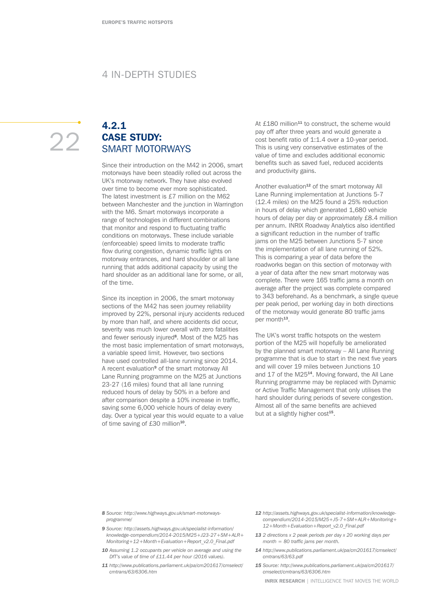#### 4 IN-DEPTH STUDIES

22

#### 4.2.1 CASE STUDY: SMART MOTORWAYS

Since their introduction on the M42 in 2006, smart motorways have been steadily rolled out across the UK's motorway network. They have also evolved over time to become ever more sophisticated. The latest investment is £7 million on the M62 between Manchester and the junction in Warrington with the M6. Smart motorways incorporate a range of technologies in different combinations that monitor and respond to fluctuating traffic conditions on motorways. These include variable (enforceable) speed limits to moderate traffic flow during congestion, dynamic traffic lights on motorway entrances, and hard shoulder or all lane running that adds additional capacity by using the hard shoulder as an additional lane for some, or all, of the time.

Since its inception in 2006, the smart motorway sections of the M42 has seen journey reliability improved by 22%, personal injury accidents reduced by more than half, and where accidents did occur, severity was much lower overall with zero fatalities and fewer seriously injured<sup>8</sup>. Most of the M25 has the most basic implementation of smart motorways, a variable speed limit. However, two sections have used controlled all-lane running since 2014. A recent evaluation<sup>9</sup> of the smart motorway All Lane Running programme on the M25 at Junctions 23-27 (16 miles) found that all lane running reduced hours of delay by 50% in a before and after comparison despite a 10% increase in traffic, saving some 6,000 vehicle hours of delay every day. Over a typical year this would equate to a value of time saving of £30 million<sup>10</sup>.

At £180 million<sup>11</sup> to construct, the scheme would pay off after three years and would generate a cost benefit ratio of 1:1.4 over a 10-year period. This is using very conservative estimates of the value of time and excludes additional economic benefits such as saved fuel, reduced accidents and productivity gains.

Another evaluation<sup>12</sup> of the smart motorway All Lane Running implementation at Junctions 5-7 (12.4 miles) on the M25 found a 25% reduction in hours of delay which generated 1,680 vehicle hours of delay per day or approximately £8.4 million per annum. INRIX Roadway Analytics also identified a significant reduction in the number of traffic jams on the M25 between Junctions 5-7 since the implementation of all lane running of 52%. This is comparing a year of data before the roadworks began on this section of motorway with a year of data after the new smart motorway was complete. There were 165 traffic jams a month on average after the project was complete compared to 343 beforehand. As a benchmark, a single queue per peak period, per working day in both directions of the motorway would generate 80 traffic jams per month<sup>13</sup>.

The UK's worst traffic hotspots on the western portion of the M25 will hopefully be ameliorated by the planned smart motorway – All Lane Running programme that is due to start in the next five years and will cover 19 miles between Junctions 10 and 17 of the M25<sup>14</sup>. Moving forward, the All Lane Running programme may be replaced with Dynamic or Active Traffic Management that only utilises the hard shoulder during periods of severe congestion. Almost all of the same benefits are achieved but at a slightly higher cost<sup>15</sup>.

- *8 Source: http://www.highways.gov.uk/smart-motorwaysprogramme/*
- *9 Source: http://assets.highways.gov.uk/specialist-information/ knowledge-compendium/2014-2015/M25+J23-27+SM+ALR+ Monitoring+12+Month+Evaluation+Report\_v2.0\_Final.pdf*
- *10 Assuming 1.2 occupants per vehicle on average and using the DfT's value of time of £11.44 per hour (2016 values).*
- *11 http://www.publications.parliament.uk/pa/cm201617/cmselect/ cmtrans/63/6306.htm*
- *12 http://assets.highways.gov.uk/specialist-information/knowledgecompendium/2014-2015/M25+J5-7+SM+ALR+Monitoring+ 12+Month+Evaluation+Report\_v2.0\_Final.pdf*
- *13 2 directions x 2 peak periods per day x 20 working days per month = 80 traffic jams per month.*
- *14 http://www.publications.parliament.uk/pa/cm201617/cmselect/ cmtrans/63/63.pdf*
- *15 Source: http://www.publications.parliament.uk/pa/cm201617/ cmselect/cmtrans/63/6306.htm*

INRIX RESEARCH | INTELLIGENCE THAT MOVES THE WORLD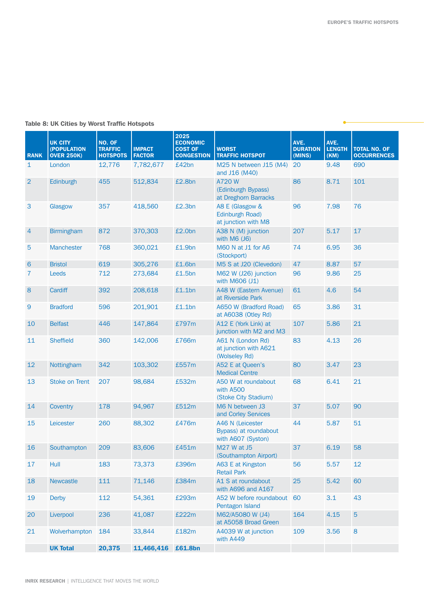#### Table 8: UK Cities by Worst Traffic Hotspots

| <b>RANK</b>    | <b>UK CITY</b><br>(POPULATION<br><b>OVER 250K)</b> | NO. OF<br><b>TRAFFIC</b><br><b>HOTSPOTS</b> | <b>IMPACT</b><br><b>FACTOR</b> | 2025<br><b>ECONOMIC</b><br><b>COST OF</b><br><b>CONGESTION</b> | <b>WORST</b><br><b>TRAFFIC HOTSPOT</b>                          | AVE.<br><b>DURATION</b><br>(MINS) | AVE.<br><b>LENGTH</b><br>(KM) | <b>TOTAL NO. OF</b><br><b>OCCURRENCES</b> |
|----------------|----------------------------------------------------|---------------------------------------------|--------------------------------|----------------------------------------------------------------|-----------------------------------------------------------------|-----------------------------------|-------------------------------|-------------------------------------------|
| $\mathbf{1}$   | London                                             | 12,776                                      | 7,782,677                      | £42bn                                                          | M25 N between J15 (M4)<br>and J16 (M40)                         | 20                                | 9.48                          | 690                                       |
| $\overline{2}$ | Edinburgh                                          | 455                                         | 512,834                        | £2.8bn                                                         | A720 W<br>(Edinburgh Bypass)<br>at Dreghorn Barracks            | 86                                | 8.71                          | 101                                       |
| 3              | Glasgow                                            | 357                                         | 418,560                        | £2.3bn                                                         | A8 E (Glasgow &<br>Edinburgh Road)<br>at junction with M8       | 96                                | 7.98                          | 76                                        |
| $\overline{4}$ | <b>Birmingham</b>                                  | 872                                         | 370,303                        | £2.0bn                                                         | A38 N (M) junction<br>with M6 (J6)                              | 207                               | 5.17                          | 17                                        |
| 5              | Manchester                                         | 768                                         | 360,021                        | £1.9bn                                                         | M60 N at J1 for A6<br>(Stockport)                               | 74                                | 6.95                          | 36                                        |
| 6              | <b>Bristol</b>                                     | 619                                         | 305,276                        | £1.6bn                                                         | M5 S at J20 (Clevedon)                                          | 47                                | 8.87                          | 57                                        |
| $\overline{7}$ | Leeds                                              | 712                                         | 273,684                        | £1.5bn                                                         | M62 W (J26) junction<br>with M606 (J1)                          | 96                                | 9.86                          | 25                                        |
| 8              | Cardiff                                            | 392                                         | 208,618                        | £1.1bn                                                         | A48 W (Eastern Avenue)<br>at Riverside Park                     | 61                                | 4.6                           | 54                                        |
| $\overline{9}$ | <b>Bradford</b>                                    | 596                                         | 201,901                        | £1.1bn                                                         | A650 W (Bradford Road)<br>at A6038 (Otley Rd)                   | 65                                | 3.86                          | 31                                        |
| 10             | <b>Belfast</b>                                     | 446                                         | 147,864                        | £797m                                                          | A12 E (York Link) at<br>junction with M2 and M3                 | 107                               | 5.86                          | 21                                        |
| 11             | <b>Sheffield</b>                                   | 360                                         | 142,006                        | £766m                                                          | A61 N (London Rd)<br>at junction with A621<br>(Wolseley Rd)     | 83                                | 4.13                          | 26                                        |
| 12             | Nottingham                                         | 342                                         | 103,302                        | £557m                                                          | A52 E at Queen's<br><b>Medical Centre</b>                       | 80                                | 3.47                          | 23                                        |
| 13             | <b>Stoke on Trent</b>                              | 207                                         | 98,684                         | £532m                                                          | A50 W at roundabout<br>with A500<br>(Stoke City Stadium)        | 68                                | 6.41                          | 21                                        |
| 14             | Coventry                                           | 178                                         | 94,967                         | £512m                                                          | M6 N between J3<br>and Corley Services                          | 37                                | 5.07                          | 90                                        |
| 15             | Leicester                                          | 260                                         | 88,302                         | £476m                                                          | A46 N (Leicester<br>Bypass) at roundabout<br>with A607 (Syston) | 44                                | 5.87                          | 51                                        |
| 16             | Southampton                                        | 209                                         | 83,606                         | £451m                                                          | M27 W at J5<br>(Southampton Airport)                            | 37                                | 6.19                          | 58                                        |
| 17             | Hull                                               | 183                                         | 73,373                         | £396m                                                          | A63 E at Kingston<br><b>Retail Park</b>                         | 56                                | 5.57                          | 12                                        |
| 18             | <b>Newcastle</b>                                   | 111                                         | 71,146                         | £384m                                                          | A1 S at roundabout<br>with A696 and A167                        | 25                                | 5.42                          | 60                                        |
| 19             | <b>Derby</b>                                       | 112                                         | 54,361                         | £293m                                                          | A52 W before roundabout 60<br>Pentagon Island                   |                                   | 3.1                           | 43                                        |
| 20             | Liverpool                                          | 236                                         | 41,087                         | £222m                                                          | M62/A5080 W (J4)<br>at A5058 Broad Green                        | 164                               | 4.15                          | $\overline{5}$                            |
| 21             | Wolverhampton                                      | 184                                         | 33,844                         | £182m                                                          | A4039 W at junction<br>with A449                                | 109                               | 3.56                          | 8                                         |
|                | <b>UK Total</b>                                    | 20,375                                      | 11,466,416                     | £61.8bn                                                        |                                                                 |                                   |                               |                                           |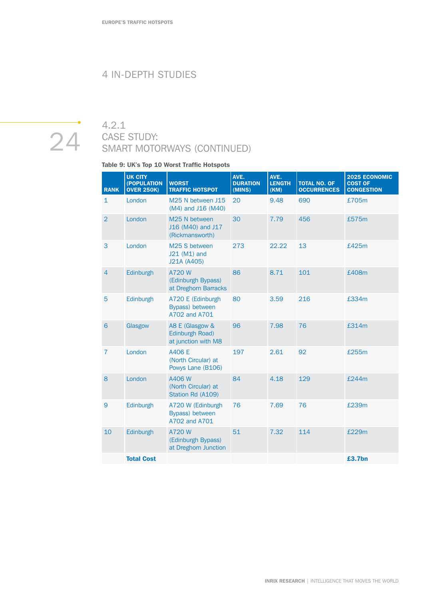### 4 IN-DEPTH STUDIES

# 24

# 4.2.1 CASE STUDY: SMART MOTORWAYS (CONTINUED)

#### Table 9: UK's Top 10 Worst Traffic Hotspots

| <b>RANK</b>    | <b>UK CITY</b><br>(POPULATION<br><b>OVER 250K)</b> | <b>WORST</b><br><b>TRAFFIC HOTSPOT</b>                          | AVE.<br><b>DURATION</b><br>(MINS) | AVE.<br><b>LENGTH</b><br>(KM) | <b>TOTAL NO. OF</b><br><b>OCCURRENCES</b> | 2025 ECONOMIC<br><b>COST OF</b><br><b>CONGESTION</b> |
|----------------|----------------------------------------------------|-----------------------------------------------------------------|-----------------------------------|-------------------------------|-------------------------------------------|------------------------------------------------------|
| $\mathbf{1}$   | London                                             | M <sub>25</sub> N between J <sub>15</sub><br>(M4) and J16 (M40) | 20                                | 9.48                          | 690                                       | £705m                                                |
| $\overline{2}$ | London                                             | M25 N between<br>J16 (M40) and J17<br>(Rickmansworth)           | 30                                | 7.79                          | 456                                       | £575m                                                |
| 3              | London                                             | M25 S between<br>J21 (M1) and<br>J21A (A405)                    | 273                               | 22.22                         | 13                                        | £425m                                                |
| 4              | Edinburgh                                          | A720 W<br>(Edinburgh Bypass)<br>at Dreghorn Barracks            | 86                                | 8.71                          | 101                                       | £408m                                                |
| 5              | Edinburgh                                          | A720 E (Edinburgh<br>Bypass) between<br>A702 and A701           | 80                                | 3.59                          | 216                                       | £334m                                                |
| 6              | Glasgow                                            | A8 E (Glasgow &<br>Edinburgh Road)<br>at junction with M8       | 96                                | 7.98                          | 76                                        | £314m                                                |
| $\overline{7}$ | London                                             | A406 E<br>(North Circular) at<br>Powys Lane (B106)              | 197                               | 2.61                          | 92                                        | £255m                                                |
| 8              | London                                             | A406 W<br>(North Circular) at<br>Station Rd (A109)              | 84                                | 4.18                          | 129                                       | £244m                                                |
| $9$            | Edinburgh                                          | A720 W (Edinburgh<br>Bypass) between<br>A702 and A701           | 76                                | 7.69                          | 76                                        | £239m                                                |
| 10             | Edinburgh                                          | A720 W<br>(Edinburgh Bypass)<br>at Dreghorn Junction            | 51                                | 7.32                          | 114                                       | £229m                                                |
|                | <b>Total Cost</b>                                  |                                                                 |                                   |                               |                                           | £3.7bn                                               |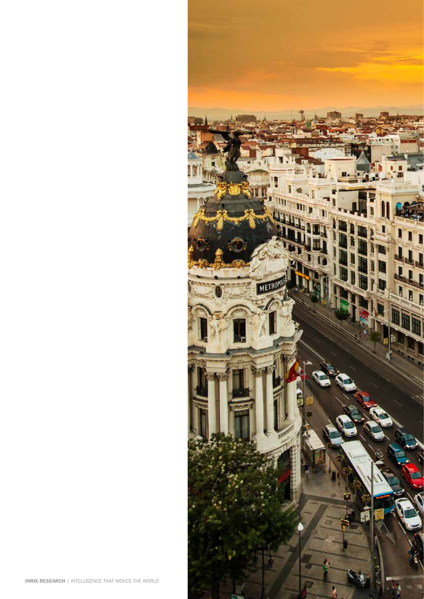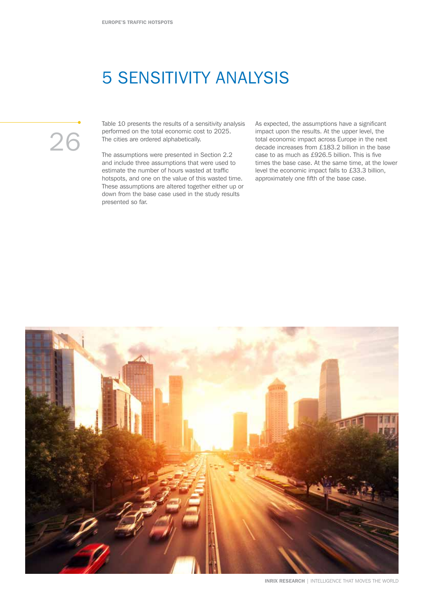# 5 SENSITIVITY ANALYSIS

26

Table 10 presents the results of a sensitivity analysis performed on the total economic cost to 2025. The cities are ordered alphabetically.

The assumptions were presented in Section 2.2 and include three assumptions that were used to estimate the number of hours wasted at traffic hotspots, and one on the value of this wasted time. These assumptions are altered together either up or down from the base case used in the study results presented so far.

As expected, the assumptions have a significant impact upon the results. At the upper level, the total economic impact across Europe in the next decade increases from £183.2 billion in the base case to as much as £926.5 billion. This is five times the base case. At the same time, at the lower level the economic impact falls to £33.3 billion, approximately one fifth of the base case.

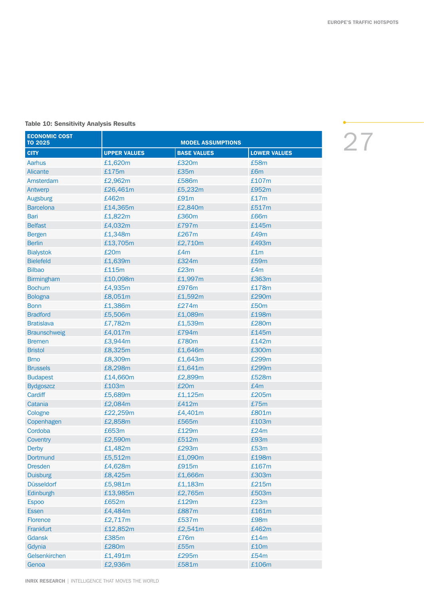#### Table 10: Sensitivity Analysis Results

| <b>ECONOMIC COST</b><br><b>TO 2025</b> |                     | <b>MODEL ASSUMPTIONS</b> |                     |
|----------------------------------------|---------------------|--------------------------|---------------------|
| <b>CITY</b>                            | <b>UPPER VALUES</b> | <b>BASE VALUES</b>       | <b>LOWER VALUES</b> |
| <b>Aarhus</b>                          | £1,620m             | £320m                    | £58m                |
| <b>Alicante</b>                        | £175m               | £35m                     | £6m                 |
| Amsterdam                              | £2,962m             | £586m                    | £107m               |
| Antwerp                                | £26,461m            | £5,232m                  | £952m               |
| Augsburg                               | £462m               | £91m                     | £17m                |
| <b>Barcelona</b>                       | £14,365m            | £2,840m                  | £517m               |
| Bari                                   | £1,822m             | £360m                    | £66m                |
| <b>Belfast</b>                         | £4,032m             | £797m                    | £145m               |
| <b>Bergen</b>                          | £1,348m             | £267m                    | £49m                |
| <b>Berlin</b>                          | £13,705m            | £2,710m                  | £493m               |
| <b>Bialystok</b>                       | £20m                | £4m                      | £1m                 |
| <b>Bielefeld</b>                       | £1,639m             | £324m                    | £59m                |
| <b>Bilbao</b>                          | £115m               | £23m                     | £4m                 |
| <b>Birmingham</b>                      | £10,098m            | £1,997m                  | £363m               |
| <b>Bochum</b>                          | £4,935m             | £976m                    | £178m               |
| <b>Bologna</b>                         | £8,051m             | £1,592m                  | £290m               |
| <b>Bonn</b>                            | £1,386m             | £274m                    | £50m                |
| <b>Bradford</b>                        | £5,506m             | £1,089m                  | £198m               |
| <b>Bratislava</b>                      | £7,782m             | £1,539m                  | £280m               |
| <b>Braunschweig</b>                    | £4,017m             | £794m                    | £145m               |
| <b>Bremen</b>                          | £3,944m             | £780m                    | £142m               |
| <b>Bristol</b>                         | £8,325m             | £1,646m                  | £300m               |
| <b>Brno</b>                            | £8,309m             | £1,643m                  | £299m               |
| <b>Brussels</b>                        | £8,298m             | £1,641m                  | £299m               |
| <b>Budapest</b>                        | £14,660m            | £2,899m                  | £528m               |
| <b>Bydgoszcz</b>                       | £103m               | £20m                     | £4m                 |
| Cardiff                                | £5,689m             | £1,125m                  | £205m               |
| Catania                                | £2,084m             | £412m<br>£4,401m         | £75m<br>£801m       |
| Cologne                                | £22,259m            | £565m                    | £103m               |
| Copenhagen<br>Cordoba                  | £2,858m<br>£653m    | £129m                    | £24m                |
| Coventry                               | £2,590m             | £512m                    | £93m                |
| <b>Derby</b>                           | £1,482m             | £293m                    | £53m                |
| Dortmund                               | £5,512m             | £1,090m                  | £198m               |
| <b>Dresden</b>                         | £4,628m             | £915m                    | £167m               |
| <b>Duisburg</b>                        | £8,425m             | £1,666m                  | £303m               |
| <b>Düsseldorf</b>                      | £5,981m             | £1,183m                  | £215m               |
| Edinburgh                              | £13,985m            | £2,765m                  | £503m               |
| <b>Espoo</b>                           | £652m               | £129m                    | £23m                |
| Essen                                  | £4,484m             | £887m                    | £161m               |
| Florence                               | £2,717m             | £537m                    | £98m                |
| Frankfurt                              | £12,852m            | £2,541m                  | £462m               |
| <b>Gdansk</b>                          | £385m               | £76m                     | £14m                |
| Gdynia                                 | £280m               | £55m                     | £10m                |
| Gelsenkirchen                          | £1,491m             | £295m                    | £54m                |
| Genoa                                  | £2,936m             | £581m                    | £106m               |

27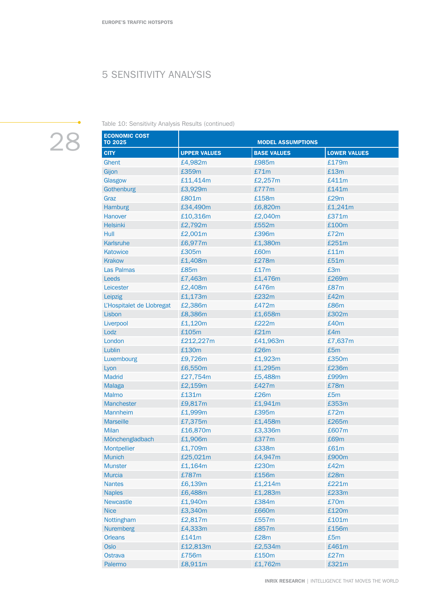# 5 SENSITIVITY ANALYSIS



Table 10: Sensitivity Analysis Results (continued)

| <b>ECONOMIC COST</b><br><b>TO 2025</b> | <b>MODEL ASSUMPTIONS</b> |                    |                     |  |  |
|----------------------------------------|--------------------------|--------------------|---------------------|--|--|
| <b>CITY</b>                            | <b>UPPER VALUES</b>      | <b>BASE VALUES</b> | <b>LOWER VALUES</b> |  |  |
| Ghent                                  | £4,982m                  | £985m              | £179m               |  |  |
| Gijon                                  | £359m                    | £71m               | £13m                |  |  |
| Glasgow                                | £11,414m                 | £2,257m            | £411m               |  |  |
| Gothenburg                             | £3,929m                  | £777m              | £141m               |  |  |
| Graz                                   | £801m                    | £158m              | £29m                |  |  |
| <b>Hamburg</b>                         | £34,490m                 | £6,820m            | £1,241m             |  |  |
| Hanover                                | £10,316m                 | £2,040m            | £371m               |  |  |
| <b>Helsinki</b>                        | £2,792m                  | £552m              | £100m               |  |  |
| Hull                                   | £2,001m                  | £396m              | £72m                |  |  |
| Karlsruhe                              | £6,977m                  | £1,380m            | £251m               |  |  |
| Katowice                               | £305m                    | £60m               | £11m                |  |  |
| <b>Krakow</b>                          | £1,408m                  | £278m              | £51m                |  |  |
| <b>Las Palmas</b>                      | £85m                     | £17m               | £3m                 |  |  |
| Leeds                                  | £7,463m                  | £1,476m            | £269m               |  |  |
| Leicester                              | £2,408m                  | £476m              | £87m                |  |  |
| Leipzig                                | £1,173m                  | £232m              | £42m                |  |  |
| L'Hospitalet de Llobregat              | £2,386m                  | £472m              | £86m                |  |  |
| Lisbon                                 | £8,386m                  | £1,658m            | £302m               |  |  |
| Liverpool                              | £1,120m                  | £222m              | £40m                |  |  |
| Lodz                                   | £105m                    | £21m               | £4m                 |  |  |
| London                                 | £212,227m                | £41,963m           | £7,637m             |  |  |
| Lublin                                 | £130m                    | £26m               | £5m                 |  |  |
| Luxembourg                             | £9,726m                  | £1,923m            | £350m               |  |  |
| Lyon                                   | £6,550m                  | £1,295m            | £236m               |  |  |
| <b>Madrid</b>                          | £27,754m                 | £5,488m            | £999m               |  |  |
| <b>Malaga</b>                          | £2,159m                  | £427m              | £78m                |  |  |
| <b>Malmo</b>                           | £131m                    | £26m               | £5m                 |  |  |
| <b>Manchester</b>                      | £9,817m                  | £1,941m            | £353m               |  |  |
| <b>Mannheim</b>                        | £1,999m                  | £395m              | £72m                |  |  |
| <b>Marseille</b>                       | £7,375m                  | £1,458m            | £265m               |  |  |
| <b>Milan</b>                           | £16,870m                 | £3,336m            | £607m               |  |  |
| Mönchengladbach                        | £1,906m                  | £377m              | £69m                |  |  |
| Montpellier                            | £1,709m                  | £338m              | £61m                |  |  |
| <b>Munich</b>                          | £25,021m                 | £4,947m            | £900m               |  |  |
| <b>Munster</b>                         | £1,164m                  | £230m              | £42m                |  |  |
| <b>Murcia</b>                          | £787m                    | £156m              | £28m                |  |  |
| <b>Nantes</b>                          | £6,139m                  | £1,214m            | £221m               |  |  |
| <b>Naples</b>                          | £6,488m                  | £1,283m            | £233m               |  |  |
| <b>Newcastle</b>                       | £1,940m                  | £384m              | £70m                |  |  |
| <b>Nice</b>                            | £3,340m                  | £660m              | £120m               |  |  |
| Nottingham                             | £2,817m                  | £557m              | £101m               |  |  |
| <b>Nuremberg</b>                       | £4,333m                  | £857m              | £156m               |  |  |
| <b>Orleans</b>                         | £141m                    | £28m               | £5m                 |  |  |
| <b>Oslo</b>                            | £12,813m                 | £2,534m            | £461m               |  |  |
| Ostrava                                | £756m                    | £150m              | £27m                |  |  |
| Palermo                                | £8,911m                  | £1,762m            | £321m               |  |  |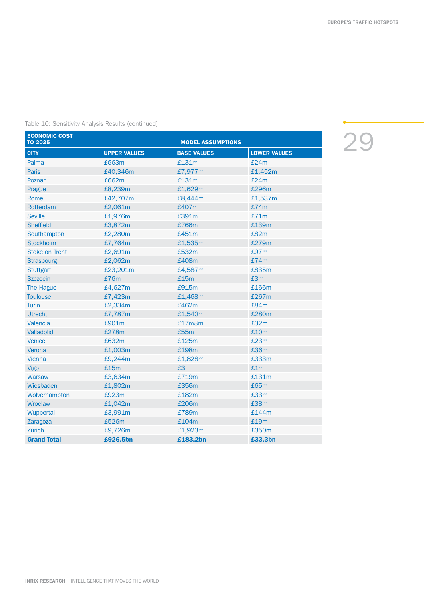#### Table 10: Sensitivity Analysis Results (continued)

| <b>ECONOMIC COST</b><br><b>TO 2025</b> |                     | <b>MODEL ASSUMPTIONS</b> |                     |
|----------------------------------------|---------------------|--------------------------|---------------------|
| <b>CITY</b>                            | <b>UPPER VALUES</b> | <b>BASE VALUES</b>       | <b>LOWER VALUES</b> |
| Palma                                  | £663m               | £131m                    | £24m                |
| Paris                                  | £40,346m            | £7,977m                  | £1,452m             |
| Poznan                                 | £662m               | £131m                    | £24m                |
| Prague                                 | £8,239m             | £1,629m                  | £296m               |
| Rome                                   | £42,707m            | £8,444m                  | £1,537m             |
| Rotterdam                              | £2,061m             | £407m                    | £74m                |
| <b>Seville</b>                         | £1,976m             | £391m                    | £71m                |
| <b>Sheffield</b>                       | £3,872m             | £766m                    | £139m               |
| Southampton                            | £2,280m             | £451m                    | £82m                |
| Stockholm                              | £7,764m             | £1,535m                  | £279m               |
| <b>Stoke on Trent</b>                  | £2,691m             | £532m                    | £97m                |
| <b>Strasbourg</b>                      | £2,062m             | £408m                    | £74m                |
| <b>Stuttgart</b>                       | £23,201m            | £4,587m                  | £835m               |
| <b>Szczecin</b>                        | £76m                | £15m                     | £3m                 |
| The Hague                              | £4,627m             | £915m                    | £166m               |
| <b>Toulouse</b>                        | £7,423m             | £1,468m                  | £267m               |
| <b>Turin</b>                           | £2,334m             | £462m                    | £84m                |
| <b>Utrecht</b>                         | £7,787m             | £1,540m                  | £280m               |
| Valencia                               | £901m               | £17m8m                   | £32m                |
| Valladolid                             | £278m               | £55m                     | £10m                |
| Venice                                 | £632m               | £125m                    | £23m                |
| Verona                                 | £1,003m             | £198m                    | £36m                |
| Vienna                                 | £9,244m             | £1,828m                  | £333m               |
| Vigo                                   | £15m                | £3                       | £1m                 |
| Warsaw                                 | £3,634m             | £719m                    | £131m               |
| Wiesbaden                              | £1,802m             | £356m                    | £65m                |
| Wolverhampton                          | £923m               | £182m                    | £33m                |
| Wroclaw                                | £1,042m             | £206m                    | £38m                |
| Wuppertal                              | £3,991m             | £789m                    | £144m               |
| Zaragoza                               | £526m               | £104m                    | £19m                |
| Zürich                                 | £9,726m             | £1,923m                  | £350m               |
| <b>Grand Total</b>                     | £926.5bn            | £183.2bn                 | £33.3bn             |

29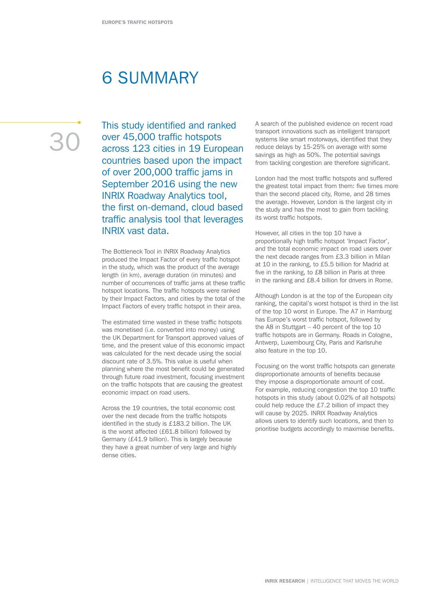# 6 SUMMARY

30

This study identified and ranked over 45,000 traffic hotspots across 123 cities in 19 European countries based upon the impact of over 200,000 traffic jams in September 2016 using the new INRIX Roadway Analytics tool, the first on-demand, cloud based traffic analysis tool that leverages INRIX vast data.

The Bottleneck Tool in INRIX Roadway Analytics produced the Impact Factor of every traffic hotspot in the study, which was the product of the average length (in km), average duration (in minutes) and number of occurrences of traffic jams at these traffic hotspot locations. The traffic hotspots were ranked by their Impact Factors, and cities by the total of the Impact Factors of every traffic hotspot in their area.

The estimated time wasted in these traffic hotspots was monetised (i.e. converted into money) using the UK Department for Transport approved values of time, and the present value of this economic impact was calculated for the next decade using the social discount rate of 3.5%. This value is useful when planning where the most benefit could be generated through future road investment, focusing investment on the traffic hotspots that are causing the greatest economic impact on road users.

Across the 19 countries, the total economic cost over the next decade from the traffic hotspots identified in the study is £183.2 billion. The UK is the worst affected (£61.8 billion) followed by Germany (£41.9 billion). This is largely because they have a great number of very large and highly dense cities.

A search of the published evidence on recent road transport innovations such as intelligent transport systems like smart motorways, identified that they reduce delays by 15-25% on average with some savings as high as 50%. The potential savings from tackling congestion are therefore significant.

London had the most traffic hotspots and suffered the greatest total impact from them: five times more than the second placed city, Rome, and 28 times the average. However, London is the largest city in the study and has the most to gain from tackling its worst traffic hotspots.

However, all cities in the top 10 have a proportionally high traffic hotspot 'Impact Factor', and the total economic impact on road users over the next decade ranges from £3.3 billion in Milan at 10 in the ranking, to £5.5 billion for Madrid at five in the ranking, to £8 billion in Paris at three in the ranking and £8.4 billion for drivers in Rome.

Although London is at the top of the European city ranking, the capital's worst hotspot is third in the list of the top 10 worst in Europe. The A7 in Hamburg has Europe's worst traffic hotspot, followed by the A8 in Stuttgart – 40 percent of the top 10 traffic hotspots are in Germany. Roads in Cologne, Antwerp, Luxembourg City, Paris and Karlsruhe also feature in the top 10.

Focusing on the worst traffic hotspots can generate disproportionate amounts of benefits because they impose a disproportionate amount of cost. For example, reducing congestion the top 10 traffic hotspots in this study (about 0.02% of all hotspots) could help reduce the £7.2 billion of impact they will cause by 2025. INRIX Roadway Analytics allows users to identify such locations, and then to prioritise budgets accordingly to maximise benefits.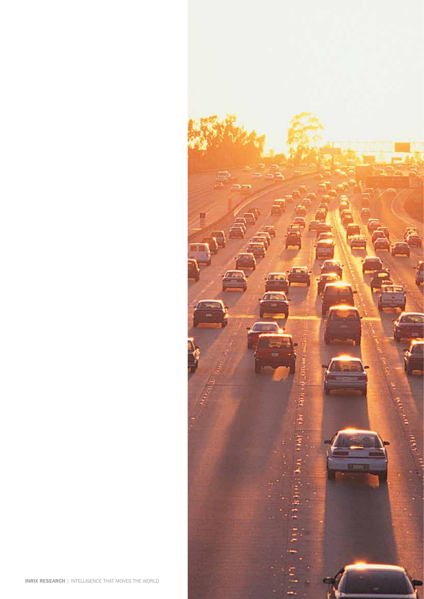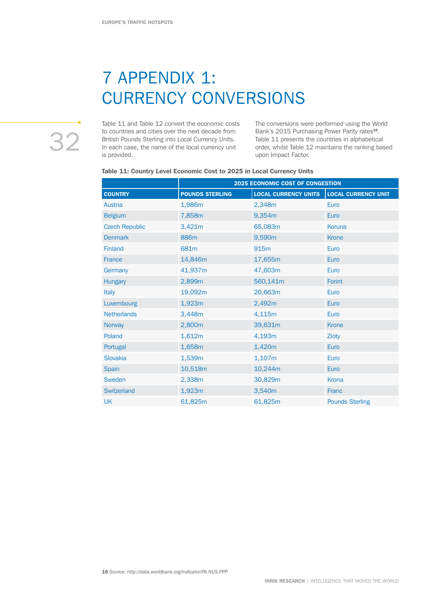# 7 APPENDIX 1: CURRENCY CONVERSIONS

32

Table 11 and Table 12 convert the economic costs to countries and cities over the next decade from British Pounds Sterling into Local Currency Units. In each case, the name of the local currency unit is provided.

The conversions were performed using the World Bank's 2015 Purchasing Power Parity rates<sup>16</sup>. Table 11 presents the countries in alphabetical order, whilst Table 12 maintains the ranking based upon Impact Factor.

|                       | <b>2025 ECONOMIC COST OF CONGESTION</b> |                             |                            |  |  |  |  |
|-----------------------|-----------------------------------------|-----------------------------|----------------------------|--|--|--|--|
| <b>COUNTRY</b>        | <b>POUNDS STERLING</b>                  | <b>LOCAL CURRENCY UNITS</b> | <b>LOCAL CURRENCY UNIT</b> |  |  |  |  |
| Austria               | 1,986m                                  | 2,348m                      | Euro                       |  |  |  |  |
| <b>Belgium</b>        | 7,858m                                  | 9,354m                      | Euro                       |  |  |  |  |
| <b>Czech Republic</b> | 3,421m                                  | 65,083m                     | Koruna                     |  |  |  |  |
| <b>Denmark</b>        | <b>886m</b>                             | 9,590m                      | <b>Krone</b>               |  |  |  |  |
| <b>Finland</b>        | 681m                                    | 915 <sub>m</sub>            | Euro                       |  |  |  |  |
| France                | 14,846m                                 | 17,655m                     | <b>Euro</b>                |  |  |  |  |
| Germany               | 41,937m                                 | 47,603m                     | Euro                       |  |  |  |  |
| <b>Hungary</b>        | 2,899m                                  | 560,141m                    | <b>Forint</b>              |  |  |  |  |
| <b>Italy</b>          | 19,092m                                 | 20,663m                     | Euro                       |  |  |  |  |
| Luxembourg            | 1,923m                                  | 2,492m                      | Euro                       |  |  |  |  |
| <b>Netherlands</b>    | 3,448m                                  | 4,115m                      | Euro                       |  |  |  |  |
| <b>Norway</b>         | 2,800m                                  | 39,631m                     | Krone                      |  |  |  |  |
| Poland                | 1,612m                                  | 4,193m                      | Zloty                      |  |  |  |  |
| Portugal              | 1,658m                                  | 1,420m                      | Euro                       |  |  |  |  |
| Slovakia              | 1,539m                                  | 1,107m                      | Euro                       |  |  |  |  |
| <b>Spain</b>          | 10,518m                                 | 10,244m                     | Euro                       |  |  |  |  |
| Sweden                | 2,338m                                  | 30,829m                     | Krona                      |  |  |  |  |
| Switzerland           | 1,923m                                  | 3,540m                      | Franc                      |  |  |  |  |
| <b>UK</b>             | 61,825m                                 | 61,825m                     | <b>Pounds Sterling</b>     |  |  |  |  |

#### Table 11: Country Level Economic Cost to 2025 in Local Currency Units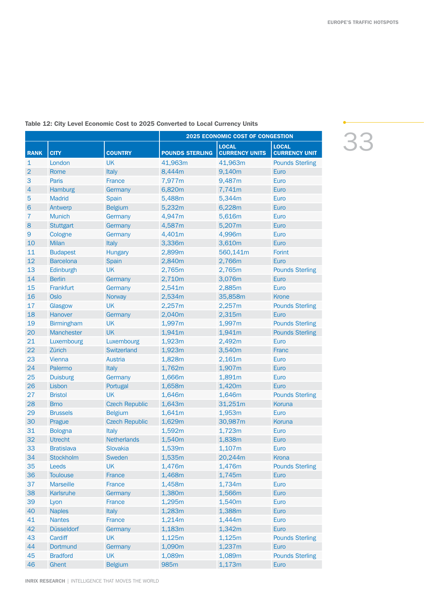#### Table 12: City Level Economic Cost to 2025 Converted to Local Currency Units

|                 |                   |                       | <b>2025 ECONOMIC COST OF CONGESTION</b> |                                       |                                      |  |
|-----------------|-------------------|-----------------------|-----------------------------------------|---------------------------------------|--------------------------------------|--|
| <b>RANK</b>     | <b>CITY</b>       | <b>COUNTRY</b>        | <b>POUNDS STERLING</b>                  | <b>LOCAL</b><br><b>CURRENCY UNITS</b> | <b>LOCAL</b><br><b>CURRENCY UNIT</b> |  |
| $\mathbf{1}$    | London            | <b>UK</b>             | 41,963m                                 | 41,963m                               | <b>Pounds Sterling</b>               |  |
| $\overline{2}$  | Rome              | Italy                 | 8,444m                                  | 9,140m                                | Euro                                 |  |
| 3               | <b>Paris</b>      | France                | 7,977m                                  | 9,487m                                | Euro                                 |  |
| 4               | <b>Hamburg</b>    | Germany               | 6,820m                                  | 7,741m                                | Euro                                 |  |
| 5               | <b>Madrid</b>     | Spain                 | 5,488m                                  | 5,344m                                | Euro                                 |  |
| $6\phantom{1}6$ | Antwerp           | <b>Belgium</b>        | 5,232m                                  | 6,228m                                | Euro                                 |  |
| $\overline{7}$  | <b>Munich</b>     | Germany               | 4,947m                                  | 5,616m                                | Euro                                 |  |
| 8               | <b>Stuttgart</b>  | Germany               | 4,587m                                  | 5,207m                                | Euro                                 |  |
| 9               | Cologne           | Germany               | 4,401m                                  | 4,996m                                | Euro                                 |  |
| 10              | <b>Milan</b>      | Italy                 | 3,336m                                  | 3,610m                                | Euro                                 |  |
| 11              | <b>Budapest</b>   | Hungary               | 2,899m                                  | 560,141m                              | Forint                               |  |
| 12              | <b>Barcelona</b>  | Spain                 | 2,840m                                  | 2,766m                                | Euro                                 |  |
| 13              | Edinburgh         | <b>UK</b>             | 2,765m                                  | 2,765m                                | <b>Pounds Sterling</b>               |  |
| 14              | <b>Berlin</b>     | Germany               | 2,710m                                  | 3,076m                                | Euro                                 |  |
| 15              | Frankfurt         | Germany               | 2,541m                                  | 2,885m                                | Euro                                 |  |
| 16              | <b>Oslo</b>       | <b>Norway</b>         | 2,534m                                  | 35,858m                               | Krone                                |  |
| 17              | Glasgow           | <b>UK</b>             | 2,257m                                  | 2,257m                                | <b>Pounds Sterling</b>               |  |
| 18              | Hanover           | Germany               | 2,040m                                  | 2,315m                                | Euro                                 |  |
| 19              | <b>Birmingham</b> | <b>UK</b>             | 1,997m                                  | 1,997m                                | <b>Pounds Sterling</b>               |  |
| 20              | <b>Manchester</b> | <b>UK</b>             | 1,941m                                  | 1,941m                                | <b>Pounds Sterling</b>               |  |
| 21              | Luxembourg        | Luxembourg            | 1,923m                                  | 2,492m                                | Euro                                 |  |
| 22              | Zürich            | Switzerland           | 1,923m                                  | 3,540m                                | Franc                                |  |
| 23              | Vienna            | <b>Austria</b>        | 1,828m                                  | 2,161m                                | Euro                                 |  |
| 24              | Palermo           | Italy                 | 1,762m                                  | 1,907m                                | Euro                                 |  |
| 25              | <b>Duisburg</b>   | Germany               | 1,666m                                  | 1,891m                                | Euro                                 |  |
| 26              | Lisbon            | Portugal              | 1,658m                                  | 1,420m                                | Euro                                 |  |
| 27              | <b>Bristol</b>    | <b>UK</b>             | 1,646m                                  | 1,646m                                | <b>Pounds Sterling</b>               |  |
| 28              | <b>Brno</b>       | <b>Czech Republic</b> | 1,643m                                  | 31,251m                               | Koruna                               |  |
| 29              | <b>Brussels</b>   | <b>Belgium</b>        | 1,641m                                  | 1,953m                                | Euro                                 |  |
| 30              | Prague            | <b>Czech Republic</b> | 1,629m                                  | 30,987m                               | Koruna                               |  |
| 31              | <b>Bologna</b>    | Italy                 | 1,592m                                  | 1,723m                                | Euro                                 |  |
| 32              | <b>Utrecht</b>    | <b>Netherlands</b>    | 1,540m                                  | 1,838m                                | Euro                                 |  |
| 33              | <b>Bratislava</b> | Slovakia              | 1,539m                                  | 1,107m                                | Euro                                 |  |
| 34              | Stockholm         | Sweden                | 1,535m                                  | 20,244m                               | Krona                                |  |
| 35              | Leeds             | <b>UK</b>             | 1,476m                                  | 1,476m                                | <b>Pounds Sterling</b>               |  |
| 36              | <b>Toulouse</b>   | France                | 1,468m                                  | 1,745m                                | Euro                                 |  |
| 37              | <b>Marseille</b>  | France                | 1,458m                                  | 1,734m                                | Euro                                 |  |
| 38              | Karlsruhe         | Germany               | 1,380m                                  | 1,566m                                | Euro                                 |  |
| 39              | Lyon              | France                | 1,295m                                  | 1,540m                                | Euro                                 |  |
| 40              | <b>Naples</b>     | Italy                 | 1,283m                                  | 1,388m                                | Euro                                 |  |
| 41              | <b>Nantes</b>     | France                | 1,214m                                  | 1,444m                                | Euro                                 |  |
| 42              | <b>Düsseldorf</b> | Germany               | 1,183m                                  | 1,342m                                | Euro                                 |  |
| 43              | Cardiff           | <b>UK</b>             | 1,125m                                  | 1,125m                                | <b>Pounds Sterling</b>               |  |
| 44              | <b>Dortmund</b>   | Germany               | 1,090m                                  | 1,237m                                | Euro                                 |  |
| 45              | <b>Bradford</b>   | <b>UK</b>             | 1,089m                                  | 1,089m                                | <b>Pounds Sterling</b>               |  |
| 46              | Ghent             | <b>Belgium</b>        | 985m                                    | 1,173m                                | Euro                                 |  |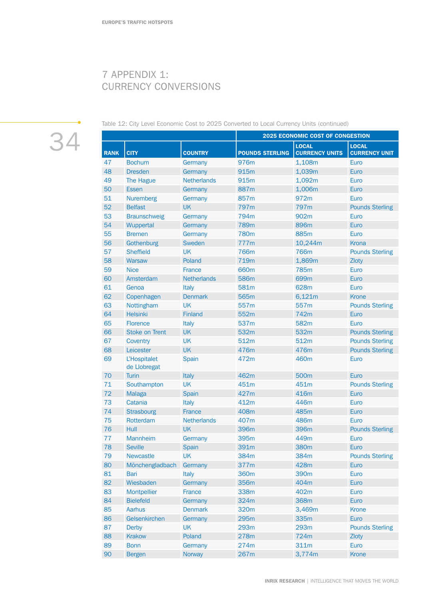# 7 APPENDIX 1: CURRENCY CONVERSIONS



Table 12: City Level Economic Cost to 2025 Converted to Local Currency Units (continued)

|             |                                     |                    | <b>2025 ECONOMIC COST OF CONGESTION</b> |                                       |                                      |  |
|-------------|-------------------------------------|--------------------|-----------------------------------------|---------------------------------------|--------------------------------------|--|
| <b>RANK</b> | <b>CITY</b>                         | <b>COUNTRY</b>     | <b>POUNDS STERLING</b>                  | <b>LOCAL</b><br><b>CURRENCY UNITS</b> | <b>LOCAL</b><br><b>CURRENCY UNIT</b> |  |
| 47          | <b>Bochum</b>                       | Germany            | 976m                                    | 1,108m                                | Euro                                 |  |
| 48          | <b>Dresden</b>                      | Germany            | 915m                                    | 1,039m                                | Euro                                 |  |
| 49          | The Hague                           | <b>Netherlands</b> | 915m                                    | 1,092m                                | Euro                                 |  |
| 50          | <b>Essen</b>                        | Germany            | 887m                                    | 1,006m                                | Euro                                 |  |
| 51          | Nuremberg                           | Germany            | 857m                                    | 972m                                  | Euro                                 |  |
| 52          | <b>Belfast</b>                      | <b>UK</b>          | 797m                                    | 797m                                  | <b>Pounds Sterling</b>               |  |
| 53          | <b>Braunschweig</b>                 | Germany            | 794m                                    | 902m                                  | Euro                                 |  |
| 54          | Wuppertal                           | Germany            | 789m                                    | 896m                                  | Euro                                 |  |
| 55          | <b>Bremen</b>                       | Germany            | 780 <sub>m</sub>                        | 885m                                  | Euro                                 |  |
| 56          | Gothenburg                          | Sweden             | 777m                                    | 10,244m                               | Krona                                |  |
| 57          | <b>Sheffield</b>                    | <b>UK</b>          | <b>766m</b>                             | <b>766m</b>                           | <b>Pounds Sterling</b>               |  |
| 58          | Warsaw                              | Poland             | 719m                                    | 1,869m                                | <b>Zloty</b>                         |  |
| 59          | <b>Nice</b>                         | <b>France</b>      | 660m                                    | 785m                                  | Euro                                 |  |
| 60          | Amsterdam                           | <b>Netherlands</b> | 586m                                    | 699m                                  | Euro                                 |  |
| 61          | Genoa                               | Italy              | 581m                                    | 628m                                  | <b>Euro</b>                          |  |
| 62          | Copenhagen                          | <b>Denmark</b>     | 565m                                    | 6,121m                                | <b>Krone</b>                         |  |
| 63          | Nottingham                          | <b>UK</b>          | 557m                                    | 557m                                  | <b>Pounds Sterling</b>               |  |
| 64          | <b>Helsinki</b>                     | Finland            | 552m                                    | 742m                                  | Euro                                 |  |
| 65          | <b>Florence</b>                     | Italy              | 537m                                    | 582m                                  | Euro                                 |  |
| 66          | <b>Stoke on Trent</b>               | <b>UK</b>          | 532m                                    | 532m                                  | <b>Pounds Sterling</b>               |  |
| 67          | Coventry                            | <b>UK</b>          | 512m                                    | 512m                                  | <b>Pounds Sterling</b>               |  |
| 68          | Leicester                           | <b>UK</b>          | 476m                                    | 476m                                  | <b>Pounds Sterling</b>               |  |
| 69          | <b>L'Hospitalet</b><br>de Llobregat | Spain              | 472m                                    | 460 <sub>m</sub>                      | Euro                                 |  |
| 70          | Turin                               | Italy              | 462m                                    | 500 <sub>m</sub>                      | Euro                                 |  |
| 71          | Southampton                         | <b>UK</b>          | 451m                                    | 451m                                  | <b>Pounds Sterling</b>               |  |
| 72          | <b>Malaga</b>                       | Spain              | 427m                                    | 416m                                  | Euro                                 |  |
| 73          | Catania                             | Italy              | 412m                                    | 446m                                  | Euro                                 |  |
| 74          | <b>Strasbourg</b>                   | <b>France</b>      | 408m                                    | 485m                                  | Euro                                 |  |
| 75          | Rotterdam                           | <b>Netherlands</b> | 407m                                    | 486m                                  | Euro                                 |  |
| 76          | Hull                                | <b>UK</b>          | 396m                                    | 396m                                  | <b>Pounds Sterling</b>               |  |
| 77          | Mannheim                            | Germany            | 395m                                    | 449m                                  | Euro                                 |  |
| 78          | <b>Seville</b>                      | Spain              | 391m                                    | 380m                                  | Euro                                 |  |
| 79          | <b>Newcastle</b>                    | <b>UK</b>          | 384m                                    | 384m                                  | <b>Pounds Sterling</b>               |  |
| 80          | Mönchengladbach                     | Germany            | 377m                                    | 428m                                  | Euro                                 |  |
| 81          | Bari                                | <b>Italy</b>       | 360m                                    | 390m                                  | Euro                                 |  |
| 82          | Wiesbaden                           | Germany            | 356m                                    | 404m                                  | Euro                                 |  |
| 83          | Montpellier                         | France             | 338m                                    | 402m                                  | Euro                                 |  |
| 84          | <b>Bielefeld</b>                    | Germany            | 324m                                    | 368m                                  | Euro                                 |  |
| 85          | Aarhus                              | <b>Denmark</b>     | 320m                                    | 3,469m                                | Krone                                |  |
| 86          | Gelsenkirchen                       | Germany            | 295m                                    | 335m                                  | Euro                                 |  |
| 87          | Derby                               | <b>UK</b>          | 293m                                    | 293m                                  | <b>Pounds Sterling</b>               |  |
| 88          | Krakow                              | Poland             | 278m                                    | 724m                                  | <b>Zloty</b>                         |  |
| 89          | <b>Bonn</b>                         | Germany            | 274m                                    | 311m                                  | Euro                                 |  |
| 90          | <b>Bergen</b>                       | Norway             | 267m                                    | 3,774m                                | Krone                                |  |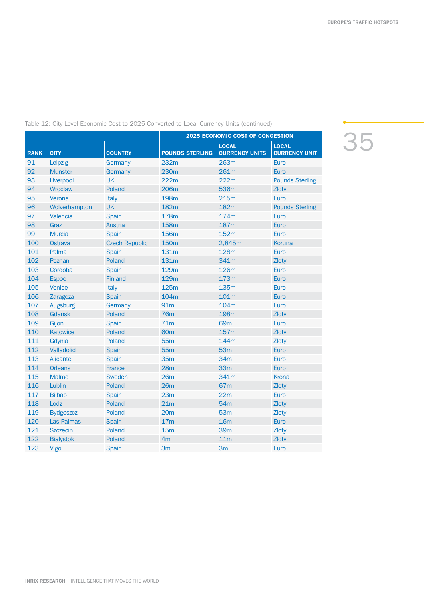Table 12: City Level Economic Cost to 2025 Converted to Local Currency Units (continued)

|             |                   |                       |                        | <b>2025 ECONOMIC COST OF CONGESTION</b> |                                      |
|-------------|-------------------|-----------------------|------------------------|-----------------------------------------|--------------------------------------|
| <b>RANK</b> | <b>CITY</b>       | <b>COUNTRY</b>        | <b>POUNDS STERLING</b> | <b>LOCAL</b><br><b>CURRENCY UNITS</b>   | <b>LOCAL</b><br><b>CURRENCY UNIT</b> |
| 91          | Leipzig           | Germany               | 232m                   | 263m                                    | Euro                                 |
| 92          | <b>Munster</b>    | Germany               | 230 <sub>m</sub>       | 261m                                    | Euro                                 |
| 93          | Liverpool         | <b>UK</b>             | 222m                   | 222m                                    | <b>Pounds Sterling</b>               |
| 94          | Wroclaw           | Poland                | 206m                   | 536m                                    | <b>Zloty</b>                         |
| 95          | Verona            | Italy                 | <b>198m</b>            | 215m                                    | Euro                                 |
| 96          | Wolverhampton     | <b>UK</b>             | 182m                   | 182m                                    | <b>Pounds Sterling</b>               |
| 97          | Valencia          | Spain                 | 178m                   | 174m                                    | Euro                                 |
| 98          | Graz              | <b>Austria</b>        | 158m                   | 187m                                    | Euro                                 |
| 99          | <b>Murcia</b>     | Spain                 | 156m                   | 152m                                    | Euro                                 |
| 100         | Ostrava           | <b>Czech Republic</b> | 150 <sub>m</sub>       | 2,845m                                  | Koruna                               |
| 101         | Palma             | <b>Spain</b>          | 131m                   | <b>128m</b>                             | Euro                                 |
| 102         | Poznan            | Poland                | 131m                   | 341m                                    | Zloty                                |
| 103         | Cordoba           | Spain                 | 129m                   | <b>126m</b>                             | Euro                                 |
| 104         | <b>Espoo</b>      | <b>Finland</b>        | 129m                   | 173m                                    | Euro                                 |
| 105         | Venice            | Italy                 | <b>125m</b>            | 135m                                    | Euro                                 |
| 106         | Zaragoza          | Spain                 | 104m                   | 101m                                    | Euro                                 |
| 107         | Augsburg          | Germany               | 91m                    | 104m                                    | Euro                                 |
| 108         | Gdansk            | Poland                | <b>76m</b>             | <b>198m</b>                             | Zloty                                |
| 109         | Gijon             | Spain                 | 71m                    | 69 <sub>m</sub>                         | Euro                                 |
| 110         | Katowice          | Poland                | 60 <sub>m</sub>        | 157m                                    | Zloty                                |
| 111         | Gdynia            | Poland                | <b>55m</b>             | 144m                                    | Zloty                                |
| 112         | Valladolid        | Spain                 | 55 <sub>m</sub>        | 53m                                     | Euro                                 |
| 113         | <b>Alicante</b>   | <b>Spain</b>          | <b>35m</b>             | 34m                                     | Euro                                 |
| 114         | <b>Orleans</b>    | <b>France</b>         | 28m                    | 33 <sub>m</sub>                         | Euro                                 |
| 115         | Malmo             | Sweden                | 26m                    | 341m                                    | Krona                                |
| 116         | Lublin            | Poland                | 26m                    | 67m                                     | Zloty                                |
| 117         | <b>Bilbao</b>     | Spain                 | 23m                    | 22m                                     | Euro                                 |
| 118         | Lodz              | Poland                | 21m                    | 54 <sub>m</sub>                         | <b>Zloty</b>                         |
| 119         | <b>Bydgoszcz</b>  | Poland                | 20 <sub>m</sub>        | 53m                                     | <b>Zloty</b>                         |
| 120         | <b>Las Palmas</b> | Spain                 | 17 <sub>m</sub>        | <b>16m</b>                              | Euro                                 |
| 121         | <b>Szczecin</b>   | Poland                | 15 <sub>m</sub>        | 39 <sub>m</sub>                         | <b>Zloty</b>                         |
| 122         | <b>Bialystok</b>  | Poland                | 4m                     | 11m                                     | <b>Zloty</b>                         |
| 123         | Vigo              | Spain                 | 3m                     | 3 <sub>m</sub>                          | Euro                                 |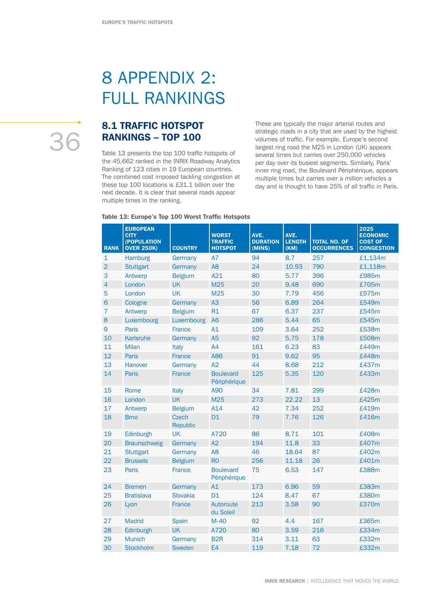# 8 APPENDIX 2: FULL RANKINGS

#### 8.1 TRAFFIC HOTSPOT RANKINGS – TOP 100

Table 13 presents the top 100 traffic hotspots of the 45,662 ranked in the INRIX Roadway Analytics Ranking of 123 cities in 19 European countries. The combined cost imposed tackling congestion at these top 100 locations is £31.1 billion over the next decade. It is clear that several roads appear multiple times in the ranking.

These are typically the major arterial routes and strategic roads in a city that are used by the highest volumes of traffic. For example, Europe's second largest ring road the M25 in London (UK) appears several times but carries over 250,000 vehicles per day over its busiest segments. Similarly, Paris' inner ring road, the Boulevard Périphérique, appears multiple times but carries over a million vehicles a day and is thought to have 25% of all traffic in Paris.

| <b>RANK</b>    | <b>EUROPEAN</b><br><b>CITY</b><br>(POPULATION<br><b>OVER 250K)</b> | <b>COUNTRY</b>    | <b>WORST</b><br><b>TRAFFIC</b><br><b>HOTSPOT</b> | AVE.<br><b>DURATION</b><br>(MINS) | AVE.<br><b>LENGTH</b><br>(KM) | <b>TOTAL NO. OF</b><br><b>OCCURRENCES</b> | 2025<br><b>ECONOMIC</b><br><b>COST OF</b><br><b>CONGESTION</b> |
|----------------|--------------------------------------------------------------------|-------------------|--------------------------------------------------|-----------------------------------|-------------------------------|-------------------------------------------|----------------------------------------------------------------|
| $\mathbf{1}$   | <b>Hamburg</b>                                                     | Germany           | A7                                               | 94                                | 8.7                           | 257                                       | £1,134m                                                        |
| $\overline{2}$ | <b>Stuttgart</b>                                                   | Germany           | A <sub>8</sub>                                   | 24                                | 10.93                         | 790                                       | £1,118m                                                        |
| 3              | Antwerp                                                            | <b>Belgium</b>    | A21                                              | 80                                | 5.77                          | 396                                       | £985m                                                          |
| 4              | London                                                             | <b>UK</b>         | M <sub>25</sub>                                  | 20                                | 9.48                          | 690                                       | £705m                                                          |
| 5              | London                                                             | <b>UK</b>         | M25                                              | 30                                | 7.79                          | 456                                       | £575m                                                          |
| 6              | Cologne                                                            | Germany           | A3                                               | 56                                | 6.89                          | 264                                       | £549m                                                          |
| 7              | Antwerp                                                            | <b>Belgium</b>    | R1                                               | 67                                | 6.37                          | 237                                       | £545m                                                          |
| 8              | Luxembourg                                                         | Luxembourg        | A <sub>6</sub>                                   | 286                               | 5.44                          | 65                                        | £545m                                                          |
| 9              | <b>Paris</b>                                                       | <b>France</b>     | A1                                               | 109                               | 3.64                          | 252                                       | £538m                                                          |
| 10             | Karlsruhe                                                          | Germany           | A <sub>5</sub>                                   | 92                                | 5.75                          | 178                                       | £508m                                                          |
| 11             | <b>Milan</b>                                                       | Italy             | A4                                               | 161                               | 6.23                          | 83                                        | £449m                                                          |
| 12             | <b>Paris</b>                                                       | France            | A86                                              | 91                                | 9.62                          | 95                                        | £448m                                                          |
| 13             | Hanover                                                            | Germany           | A2                                               | 44                                | 8.68                          | 212                                       | £437m                                                          |
| 14             | <b>Paris</b>                                                       | <b>France</b>     | <b>Boulevard</b><br>Périphérique                 | 125                               | 5.35                          | 120                                       | £433m                                                          |
| 15             | Rome                                                               | Italy             | A90                                              | 34                                | 7.81                          | 299                                       | £428m                                                          |
| 16             | London                                                             | <b>UK</b>         | M25                                              | 273                               | 22.22                         | 13                                        | £425m                                                          |
| 17             | Antwerp                                                            | <b>Belgium</b>    | A14                                              | 42                                | 7.34                          | 252                                       | £419m                                                          |
| 18             | <b>Brno</b>                                                        | Czech<br>Republic | D1                                               | 79                                | 7.76                          | 126                                       | £416m                                                          |
| 19             | Edinburgh                                                          | <b>UK</b>         | A720                                             | 86                                | 8.71                          | 101                                       | £408m                                                          |
| 20             | <b>Braunschweig</b>                                                | Germany           | A2                                               | 194                               | 11.8                          | 33                                        | £407m                                                          |
| 21             | <b>Stuttgart</b>                                                   | Germany           | A <sub>8</sub>                                   | 46                                | 18.64                         | 87                                        | £402m                                                          |
| 22             | <b>Brussels</b>                                                    | <b>Belgium</b>    | <b>RO</b>                                        | 256                               | 11.18                         | 26                                        | £401m                                                          |
| 23             | Paris                                                              | <b>France</b>     | <b>Boulevard</b><br>Périphérique                 | 75                                | 6.53                          | 147                                       | £388m                                                          |
| 24             | <b>Bremen</b>                                                      | Germany           | A1                                               | 173                               | 6.96                          | 59                                        | £383m                                                          |
| 25             | <b>Bratislava</b>                                                  | Slovakia          | <b>D1</b>                                        | 124                               | 8.47                          | 67                                        | £380m                                                          |
| 26             | Lyon                                                               | France            | Autoroute<br>du Soleil                           | 213                               | 3.58                          | 90                                        | £370m                                                          |
| 27             | <b>Madrid</b>                                                      | <b>Spain</b>      | $M-40$                                           | 92                                | 4.4                           | 167                                       | £365m                                                          |
| 28             | Edinburgh                                                          | <b>UK</b>         | A720                                             | 80                                | 3.59                          | 216                                       | £334m                                                          |
| 29             | <b>Munich</b>                                                      | Germany           | B <sub>2R</sub>                                  | 314                               | 3.11                          | 63                                        | £332m                                                          |
| 30             | <b>Stockholm</b>                                                   | Sweden            | E4                                               | 119                               | 7.18                          | 72                                        | £332m                                                          |

#### Table 13: Europe's Top 100 Worst Traffic Hotspots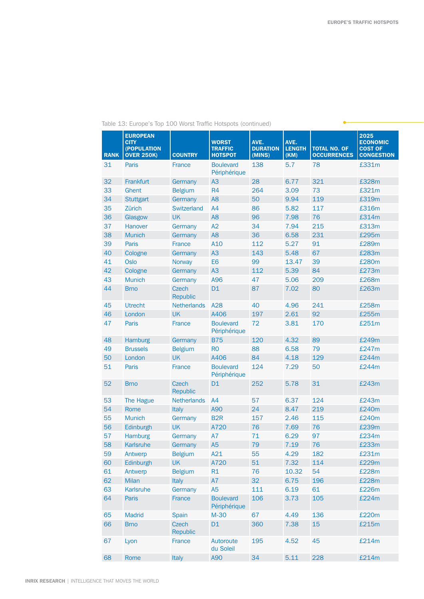Ċ

| <b>RANK</b> | <b>EUROPEAN</b><br><b>CITY</b><br>(POPULATION<br><b>OVER 250K)</b> | <b>COUNTRY</b>                  | <b>WORST</b><br><b>TRAFFIC</b><br><b>HOTSPOT</b> | AVE.<br><b>DURATION</b><br>(MINS) | AVE.<br><b>LENGTH</b><br>(KM) | <b>TOTAL NO. OF</b><br><b>OCCURRENCES</b> | 2025<br><b>ECONOMIC</b><br><b>COST OF</b><br><b>CONGESTION</b> |
|-------------|--------------------------------------------------------------------|---------------------------------|--------------------------------------------------|-----------------------------------|-------------------------------|-------------------------------------------|----------------------------------------------------------------|
| 31          | Paris                                                              | <b>France</b>                   | <b>Boulevard</b><br>Périphérique                 | 138                               | 5.7                           | 78                                        | £331m                                                          |
| 32          | Frankfurt                                                          | Germany                         | A3                                               | 28                                | 6.77                          | 321                                       | £328m                                                          |
| 33          | Ghent                                                              | <b>Belgium</b>                  | R <sub>4</sub>                                   | 264                               | 3.09                          | 73                                        | £321m                                                          |
| 34          | <b>Stuttgart</b>                                                   | Germany                         | A <sub>8</sub>                                   | 50                                | 9.94                          | 119                                       | £319m                                                          |
| 35          | Zürich                                                             | Switzerland                     | A4                                               | 86                                | 5.82                          | 117                                       | £316m                                                          |
| 36          | Glasgow                                                            | <b>UK</b>                       | A <sub>8</sub>                                   | 96                                | 7.98                          | 76                                        | £314m                                                          |
| 37          | Hanover                                                            | Germany                         | A2                                               | 34                                | 7.94                          | 215                                       | £313m                                                          |
| 38          | <b>Munich</b>                                                      | Germany                         | A <sub>8</sub>                                   | 36                                | 6.58                          | 231                                       | £295m                                                          |
| 39          | Paris                                                              | France                          | A10                                              | 112                               | 5.27                          | 91                                        | £289m                                                          |
| 40          | Cologne                                                            | Germany                         | A3                                               | 143                               | 5.48                          | 67                                        | £283m                                                          |
| 41          | <b>Oslo</b>                                                        | <b>Norway</b>                   | E <sub>6</sub>                                   | 99                                | 13.47                         | 39                                        | £280m                                                          |
| 42          | Cologne                                                            | Germany                         | A3                                               | 112                               | 5.39                          | 84                                        | £273m                                                          |
| 43          | <b>Munich</b>                                                      | Germany                         | A96                                              | 47                                | 5.06                          | 209                                       | £268m                                                          |
| 44          | <b>Brno</b>                                                        | <b>Czech</b><br><b>Republic</b> | D1                                               | 87                                | 7.02                          | 80                                        | £263m                                                          |
| 45          | <b>Utrecht</b>                                                     | <b>Netherlands</b>              | A28                                              | 40                                | 4.96                          | 241                                       | £258m                                                          |
| 46          | London                                                             | <b>UK</b>                       | A406                                             | 197                               | 2.61                          | 92                                        | £255m                                                          |
| 47          | <b>Paris</b>                                                       | France                          | <b>Boulevard</b><br>Périphérique                 | 72                                | 3.81                          | 170                                       | £251m                                                          |
| 48          | <b>Hamburg</b>                                                     | Germany                         | <b>B75</b>                                       | 120                               | 4.32                          | 89                                        | £249m                                                          |
| 49          | <b>Brussels</b>                                                    | <b>Belgium</b>                  | R <sub>0</sub>                                   | 88                                | 6.58                          | 79                                        | £247m                                                          |
| 50          | London                                                             | <b>UK</b>                       | A406                                             | 84                                | 4.18                          | 129                                       | £244m                                                          |
| 51          | Paris                                                              | France                          | <b>Boulevard</b><br>Périphérique                 | 124                               | 7.29                          | 50                                        | £244m                                                          |
| 52          | <b>Brno</b>                                                        | <b>Czech</b><br><b>Republic</b> | D1                                               | 252                               | 5.78                          | 31                                        | £243m                                                          |
| 53          | The Hague                                                          | <b>Netherlands</b>              | A4                                               | 57                                | 6.37                          | 124                                       | £243m                                                          |
| 54          | Rome                                                               | Italy                           | A90                                              | 24                                | 8.47                          | 219                                       | £240m                                                          |
| 55          | <b>Munich</b>                                                      | Germany                         | B <sub>2R</sub>                                  | 157                               | 2.46                          | 115                                       | £240m                                                          |
| 56          | Edinburgh                                                          | <b>UK</b>                       | A720                                             | 76                                | 7.69                          | 76                                        | £239m                                                          |
| 57          | <b>Hamburg</b>                                                     | Germany                         | A7                                               | 71                                | 6.29                          | 97                                        | £234m                                                          |
| 58          | Karlsruhe                                                          | Germany                         | A5                                               | 79                                | 7.19                          | 76                                        | £233m                                                          |
| 59          | Antwerp                                                            | <b>Belgium</b>                  | A21                                              | 55                                | 4.29                          | 182                                       | £231m                                                          |
| 60          | Edinburgh                                                          | <b>UK</b>                       | A720                                             | 51                                | 7.32                          | 114                                       | £229m                                                          |
| 61          | Antwerp                                                            | <b>Belgium</b>                  | R1                                               | 76                                | 10.32                         | 54                                        | £228m                                                          |
| 62          | <b>Milan</b>                                                       | Italy                           | A7                                               | 32                                | 6.75                          | 196                                       | £228m                                                          |
| 63          | Karlsruhe                                                          | Germany                         | A <sub>5</sub>                                   | 111                               | 6.19                          | 61                                        | £226m                                                          |
| 64          | Paris                                                              | France                          | <b>Boulevard</b><br>Périphérique                 | 106                               | 3.73                          | 105                                       | £224m                                                          |
| 65          | <b>Madrid</b>                                                      | Spain                           | M-30                                             | 67                                | 4.49                          | 136                                       | £220m                                                          |
| 66          | <b>Brno</b>                                                        | <b>Czech</b><br><b>Republic</b> | D1                                               | 360                               | 7.38                          | 15                                        | £215m                                                          |
| 67          | Lyon                                                               | France                          | Autoroute<br>du Soleil                           | 195                               | 4.52                          | 45                                        | £214m                                                          |
| 68          | Rome                                                               | Italy                           | A90                                              | 34                                | 5.11                          | 228                                       | £214m                                                          |

#### Table 13: Europe's Top 100 Worst Traffic Hotspots (continued)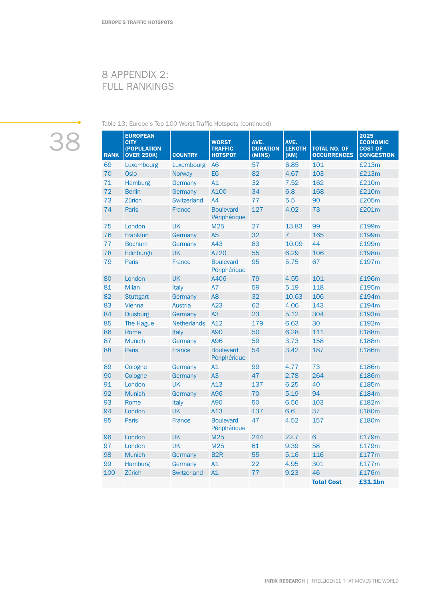# 8 APPENDIX 2: FULL RANKINGS



Table 13: Europe's Top 100 Worst Traffic Hotspots (continued)

| <b>RANK</b> | <b>EUROPEAN</b><br><b>CITY</b><br>(POPULATION<br><b>OVER 250K)</b> | <b>COUNTRY</b>     | <b>WORST</b><br><b>TRAFFIC</b><br><b>HOTSPOT</b> | AVE.<br><b>DURATION</b><br>(MINS) | AVE.<br><b>LENGTH</b><br>(KM) | <b>TOTAL NO. OF</b><br><b>OCCURRENCES</b> | 2025<br><b>ECONOMIC</b><br><b>COST OF</b><br><b>CONGESTION</b> |
|-------------|--------------------------------------------------------------------|--------------------|--------------------------------------------------|-----------------------------------|-------------------------------|-------------------------------------------|----------------------------------------------------------------|
| 69          | Luxembourg                                                         | Luxembourg         | A <sub>6</sub>                                   | 57                                | 6.85                          | 101                                       | £213m                                                          |
| 70          | <b>Oslo</b>                                                        | Norway             | E <sub>6</sub>                                   | 82                                | 4.67                          | 103                                       | £213m                                                          |
| 71          | <b>Hamburg</b>                                                     | Germany            | A1                                               | 32                                | 7.52                          | 162                                       | £210m                                                          |
| 72          | <b>Berlin</b>                                                      | Germany            | A100                                             | 34                                | 6.8                           | 168                                       | £210m                                                          |
| 73          | Zürich                                                             | <b>Switzerland</b> | A4                                               | 77                                | 5.5                           | 90                                        | £205m                                                          |
| 74          | <b>Paris</b>                                                       | <b>France</b>      | <b>Boulevard</b><br>Périphérique                 | 127                               | 4.02                          | 73                                        | £201m                                                          |
| 75          | London                                                             | <b>UK</b>          | M25                                              | 27                                | 13.83                         | 99                                        | £199m                                                          |
| 76          | <b>Frankfurt</b>                                                   | Germany            | A5                                               | 32                                | $\overline{7}$                | 165                                       | £199m                                                          |
| 77          | <b>Bochum</b>                                                      | Germany            | A43                                              | 83                                | 10.09                         | 44                                        | £199m                                                          |
| 78          | Edinburgh                                                          | <b>UK</b>          | A720                                             | 55                                | 6.29                          | 106                                       | £198m                                                          |
| 79          | <b>Paris</b>                                                       | France             | <b>Boulevard</b><br>Périphérique                 | 95                                | 5.75                          | 67                                        | £197m                                                          |
| 80          | London                                                             | <b>UK</b>          | A406                                             | 79                                | 4.55                          | 101                                       | £196m                                                          |
| 81          | <b>Milan</b>                                                       | Italy              | <b>A7</b>                                        | 59                                | 5.19                          | 118                                       | £195m                                                          |
| 82          | <b>Stuttgart</b>                                                   | Germany            | A <sub>8</sub>                                   | 32                                | 10.63                         | 106                                       | £194m                                                          |
| 83          | Vienna                                                             | <b>Austria</b>     | A23                                              | 62                                | 4.06                          | 143                                       | £194m                                                          |
| 84          | <b>Duisburg</b>                                                    | Germany            | A3                                               | 23                                | 5.12                          | 304                                       | £193m                                                          |
| 85          | The Hague                                                          | <b>Netherlands</b> | A12                                              | 179                               | 6.63                          | 30                                        | £192m                                                          |
| 86          | Rome                                                               | Italy              | A90                                              | 50                                | 6.28                          | 111                                       | £188m                                                          |
| 87          | <b>Munich</b>                                                      | Germany            | A96                                              | 59                                | 3.73                          | 158                                       | £188m                                                          |
| 88          | <b>Paris</b>                                                       | France             | <b>Boulevard</b><br>Périphérique                 | 54                                | 3.42                          | 187                                       | £186m                                                          |
| 89          | Cologne                                                            | Germany            | A1                                               | 99                                | 4.77                          | 73                                        | £186m                                                          |
| 90          | Cologne                                                            | Germany            | A3                                               | 47                                | 2.78                          | 264                                       | £186m                                                          |
| 91          | London                                                             | <b>UK</b>          | A <sub>13</sub>                                  | 137                               | 6.25                          | 40                                        | £185m                                                          |
| 92          | <b>Munich</b>                                                      | Germany            | A96                                              | 70                                | 5.19                          | 94                                        | £184m                                                          |
| 93          | Rome                                                               | Italy              | A90                                              | 50                                | 6.56                          | 103                                       | £182m                                                          |
| 94          | London                                                             | <b>UK</b>          | A <sub>13</sub>                                  | 137                               | 6.6                           | 37                                        | £180m                                                          |
| 95          | <b>Paris</b>                                                       | <b>France</b>      | <b>Boulevard</b><br>Périphérique                 | 47                                | 4.52                          | 157                                       | £180m                                                          |
| 96          | London                                                             | <b>UK</b>          | M25                                              | 244                               | 22.7                          | $6\phantom{1}6$                           | £179m                                                          |
| 97          | London                                                             | <b>UK</b>          | M25                                              | 61                                | 9.39                          | 58                                        | £179m                                                          |
| 98          | <b>Munich</b>                                                      | Germany            | B <sub>2R</sub>                                  | 55                                | 5.16                          | 116                                       | £177m                                                          |
| 99          | <b>Hamburg</b>                                                     | Germany            | A1                                               | 22                                | 4.95                          | 301                                       | £177m                                                          |
| 100         | Zürich                                                             | Switzerland        | A1                                               | 77                                | 9.23                          | 46                                        | £176m                                                          |
|             |                                                                    |                    |                                                  |                                   |                               | <b>Total Cost</b>                         | £31.1bn                                                        |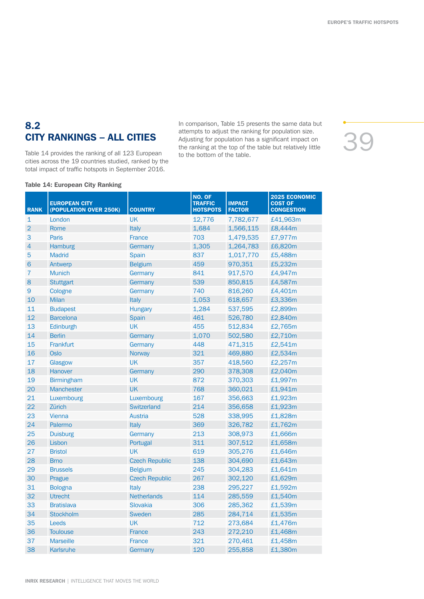## 8.2 CITY RANKINGS – ALL CITIES

Table 14 provides the ranking of all 123 European cities across the 19 countries studied, ranked by the total impact of traffic hotspots in September 2016.

In comparison, Table 15 presents the same data but attempts to adjust the ranking for population size. Adjusting for population has a significant impact on the ranking at the top of the table but relatively little to the bottom of the table.

# 

Table 14: European City Ranking

| <b>RANK</b>    | <b>EUROPEAN CITY</b><br>(POPULATION OVER 250K) | <b>COUNTRY</b>        | NO. OF<br><b>TRAFFIC</b><br><b>HOTSPOTS</b> | <b>IMPACT</b><br><b>FACTOR</b> | 2025 ECONOMIC<br><b>COST OF</b><br><b>CONGESTION</b> |
|----------------|------------------------------------------------|-----------------------|---------------------------------------------|--------------------------------|------------------------------------------------------|
| $\mathbf{1}$   | London                                         | <b>UK</b>             | 12,776                                      | 7,782,677                      | £41,963m                                             |
| $\overline{2}$ | Rome                                           | Italy                 | 1,684                                       | 1,566,115                      | £8,444m                                              |
| 3              | <b>Paris</b>                                   | <b>France</b>         | 703                                         | 1,479,535                      | £7,977m                                              |
| 4              | Hamburg                                        | Germany               | 1,305                                       | 1,264,783                      | £6,820m                                              |
| 5              | <b>Madrid</b>                                  | Spain                 | 837                                         | 1,017,770                      | £5,488m                                              |
| 6              | Antwerp                                        | <b>Belgium</b>        | 459                                         | 970,351                        | £5,232m                                              |
| 7              | <b>Munich</b>                                  | Germany               | 841                                         | 917,570                        | £4,947m                                              |
| 8              | <b>Stuttgart</b>                               | Germany               | 539                                         | 850,815                        | £4,587m                                              |
| 9              | Cologne                                        | Germany               | 740                                         | 816,260                        | £4,401m                                              |
| 10             | <b>Milan</b>                                   | Italy                 | 1,053                                       | 618,657                        | £3,336m                                              |
| 11             | <b>Budapest</b>                                | Hungary               | 1,284                                       | 537,595                        | £2,899m                                              |
| 12             | <b>Barcelona</b>                               | <b>Spain</b>          | 461                                         | 526,780                        | £2,840m                                              |
| 13             | Edinburgh                                      | UK                    | 455                                         | 512,834                        | £2,765m                                              |
| 14             | <b>Berlin</b>                                  | Germany               | 1,070                                       | 502,580                        | £2,710m                                              |
| 15             | Frankfurt                                      | Germany               | 448                                         | 471,315                        | £2,541m                                              |
| 16             | Oslo                                           | <b>Norway</b>         | 321                                         | 469,880                        | £2,534m                                              |
| 17             | Glasgow                                        | <b>UK</b>             | 357                                         | 418,560                        | £2,257m                                              |
| 18             | <b>Hanover</b>                                 | Germany               | 290                                         | 378,308                        | £2,040m                                              |
| 19             | Birmingham                                     | <b>UK</b>             | 872                                         | 370,303                        | £1,997m                                              |
| 20             | Manchester                                     | <b>UK</b>             | 768                                         | 360,021                        | £1,941m                                              |
| 21             | Luxembourg                                     | Luxembourg            | 167                                         | 356,663                        | £1,923m                                              |
| 22             | Zürich                                         | <b>Switzerland</b>    | 214                                         | 356,658                        | £1,923m                                              |
| 23             | Vienna                                         | <b>Austria</b>        | 528                                         | 338,995                        | £1,828m                                              |
| 24             | Palermo                                        | Italy                 | 369                                         | 326,782                        | £1,762m                                              |
| 25             | <b>Duisburg</b>                                | Germany               | 213                                         | 308,973                        | £1,666m                                              |
| 26             | Lisbon                                         | Portugal              | 311                                         | 307,512                        | £1,658m                                              |
| 27             | <b>Bristol</b>                                 | UK                    | 619                                         | 305,276                        | £1,646m                                              |
| 28             | <b>Brno</b>                                    | <b>Czech Republic</b> | 138                                         | 304,690                        | £1,643m                                              |
| 29             | <b>Brussels</b>                                | <b>Belgium</b>        | 245                                         | 304,283                        | £1,641m                                              |
| 30             | Prague                                         | <b>Czech Republic</b> | 267                                         | 302,120                        | £1,629m                                              |
| 31             | <b>Bologna</b>                                 | <b>Italy</b>          | 238                                         | 295,227                        | £1,592m                                              |
| 32             | <b>Utrecht</b>                                 | <b>Netherlands</b>    | 114                                         | 285,559                        | £1,540m                                              |
| 33             | <b>Bratislava</b>                              | Slovakia              | 306                                         | 285,362                        | £1,539m                                              |
| 34             | <b>Stockholm</b>                               | <b>Sweden</b>         | 285                                         | 284,714                        | £1,535m                                              |
| 35             | Leeds                                          | <b>UK</b>             | 712                                         | 273,684                        | £1,476m                                              |
| 36             | <b>Toulouse</b>                                | France                | 243                                         | 272,210                        | £1,468m                                              |
| 37             | <b>Marseille</b>                               | France                | 321                                         | 270,461                        | £1,458m                                              |
| 38             | Karlsruhe                                      | Germany               | 120                                         | 255,858                        | £1,380m                                              |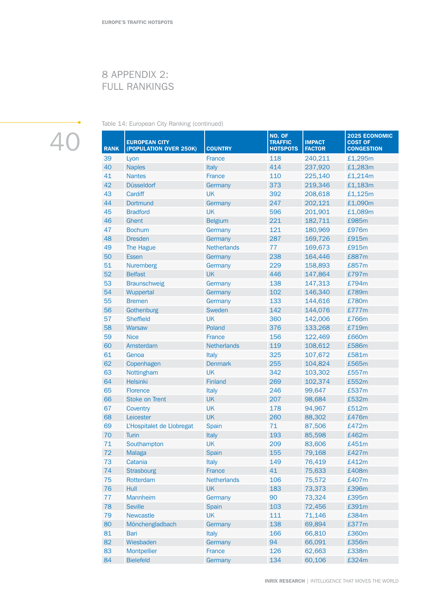# 8 APPENDIX 2: FULL RANKINGS



Table 14: European City Ranking (continued)

| <b>RANK</b> | <b>EUROPEAN CITY</b><br>(POPULATION OVER 250K) | <b>COUNTRY</b>     | <b>NO. OF</b><br><b>TRAFFIC</b><br><b>HOTSPOTS</b> | <b>IMPACT</b><br><b>FACTOR</b> | 2025 ECONOMIC<br><b>COST OF</b><br><b>CONGESTION</b> |
|-------------|------------------------------------------------|--------------------|----------------------------------------------------|--------------------------------|------------------------------------------------------|
| 39          | Lyon                                           | <b>France</b>      | 118                                                | 240,211                        | £1,295m                                              |
| 40          | <b>Naples</b>                                  | Italy              | 414                                                | 237,920                        | £1,283m                                              |
| 41          | <b>Nantes</b>                                  | France             | 110                                                | 225,140                        | £1,214m                                              |
| 42          | <b>Düsseldorf</b>                              | Germany            | 373                                                | 219,346                        | £1,183m                                              |
| 43          | Cardiff                                        | <b>UK</b>          | 392                                                | 208,618                        | £1,125m                                              |
| 44          | <b>Dortmund</b>                                | Germany            | 247                                                | 202,121                        | £1,090m                                              |
| 45          | <b>Bradford</b>                                | <b>UK</b>          | 596                                                | 201,901                        | £1,089m                                              |
| 46          | Ghent                                          | <b>Belgium</b>     | 221                                                | 182,711                        | £985m                                                |
| 47          | <b>Bochum</b>                                  | Germany            | 121                                                | 180,969                        | £976m                                                |
| 48          | <b>Dresden</b>                                 | Germany            | 287                                                | 169,726                        | £915m                                                |
| 49          | The Hague                                      | <b>Netherlands</b> | 77                                                 | 169,673                        | £915m                                                |
| 50          | Essen                                          | Germany            | 238                                                | 164,446                        | £887m                                                |
| 51          | <b>Nuremberg</b>                               | Germany            | 229                                                | 158,893                        | £857m                                                |
| 52          | <b>Belfast</b>                                 | <b>UK</b>          | 446                                                | 147,864                        | £797m                                                |
| 53          | <b>Braunschweig</b>                            | Germany            | 138                                                | 147,313                        | £794m                                                |
| 54          | Wuppertal                                      | Germany            | 102                                                | 146,340                        | £789m                                                |
| 55          | <b>Bremen</b>                                  | Germany            | 133                                                | 144,616                        | £780m                                                |
| 56          | Gothenburg                                     | <b>Sweden</b>      | 142                                                | 144,076                        | £777m                                                |
| 57          | <b>Sheffield</b>                               | <b>UK</b>          | 360                                                | 142,006                        | £766m                                                |
| 58          | Warsaw                                         | Poland             | 376                                                | 133,268                        | £719m                                                |
| 59          | <b>Nice</b>                                    | France             | 156                                                | 122,469                        | £660m                                                |
| 60          | Amsterdam                                      | <b>Netherlands</b> | 119                                                | 108,612                        | £586m                                                |
| 61          | Genoa                                          | Italy              | 325                                                | 107,672                        | £581m                                                |
| 62          | Copenhagen                                     | <b>Denmark</b>     | 255                                                | 104,824                        | £565m                                                |
| 63          | Nottingham                                     | <b>UK</b>          | 342                                                | 103,302                        | £557m                                                |
| 64          | <b>Helsinki</b>                                | Finland            | 269                                                | 102,374                        | £552m                                                |
| 65          | <b>Florence</b>                                | Italy              | 246                                                | 99,647                         | £537m                                                |
| 66          | <b>Stoke on Trent</b>                          | <b>UK</b>          | 207                                                | 98,684                         | £532m                                                |
| 67          | Coventry                                       | <b>UK</b>          | 178                                                | 94,967                         | £512m                                                |
| 68          | Leicester                                      | <b>UK</b>          | 260                                                | 88,302                         | £476m                                                |
| 69          | L'Hospitalet de Llobregat                      | Spain              | 71                                                 | 87,506                         | £472m                                                |
| 70          | Turin                                          | Italy              | 193                                                | 85,598                         | £462m                                                |
| 71          | Southampton                                    | <b>UK</b>          | 209                                                | 83,606                         | £451m                                                |
| 72          | Malaga                                         | Spain              | 155                                                | 79,168                         | £427m                                                |
| 73          | Catania                                        | Italy              | 149                                                | 76,419                         | £412m                                                |
| 74          | <b>Strasbourg</b>                              | France             | 41                                                 | 75,633                         | £408m                                                |
| 75          | Rotterdam                                      | <b>Netherlands</b> | 106                                                | 75,572                         | £407m                                                |
| 76          | Hull                                           | <b>UK</b>          | 183                                                | 73,373                         | £396m                                                |
| 77          | Mannheim                                       | Germany            | 90                                                 | 73,324                         | £395m                                                |
| 78          | <b>Seville</b>                                 | Spain              | 103                                                | 72,456                         | £391m                                                |
| 79          | <b>Newcastle</b>                               | <b>UK</b>          | 111                                                | 71,146                         | £384m                                                |
| 80          | Mönchengladbach                                | Germany            | 138                                                | 69,894                         | £377m                                                |
| 81          | Bari                                           | Italy              | 166                                                | 66,810                         | £360m                                                |
| 82          | Wiesbaden                                      | Germany            | 94                                                 | 66,091                         | £356m                                                |
| 83          | Montpellier                                    | <b>France</b>      | 126                                                | 62,663                         | £338m                                                |
| 84          | <b>Bielefeld</b>                               | Germany            | 134                                                | 60,106                         | £324m                                                |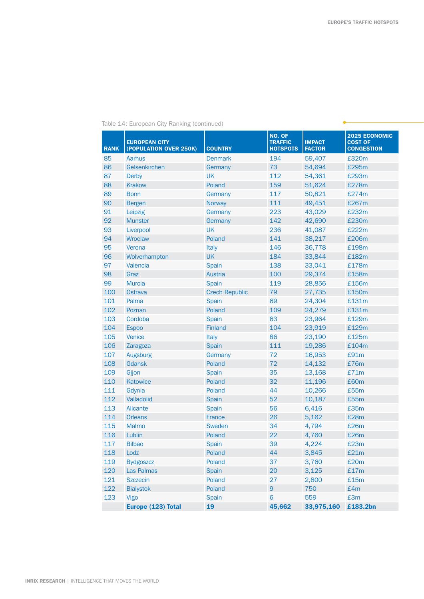| <b>RANK</b> | <b>EUROPEAN CITY</b><br>(POPULATION OVER 250K) | <b>COUNTRY</b>        | NO. OF<br><b>TRAFFIC</b><br><b>HOTSPOTS</b> | <b>IMPACT</b><br><b>FACTOR</b> | 2025 ECONOMIC<br><b>COST OF</b><br><b>CONGESTION</b> |
|-------------|------------------------------------------------|-----------------------|---------------------------------------------|--------------------------------|------------------------------------------------------|
| 85          | Aarhus                                         | <b>Denmark</b>        | 194                                         | 59,407                         | £320m                                                |
| 86          | Gelsenkirchen                                  | Germany               | 73                                          | 54,694                         | £295m                                                |
| 87          | Derby                                          | <b>UK</b>             | 112                                         | 54,361                         | £293m                                                |
| 88          | Krakow                                         | Poland                | 159                                         | 51,624                         | £278m                                                |
| 89          | <b>Bonn</b>                                    | Germany               | 117                                         | 50,821                         | £274m                                                |
| 90          | <b>Bergen</b>                                  | <b>Norway</b>         | 111                                         | 49,451                         | £267m                                                |
| 91          | Leipzig                                        | Germany               | 223                                         | 43,029                         | £232m                                                |
| 92          | <b>Munster</b>                                 | Germany               | 142                                         | 42,690                         | £230m                                                |
| 93          | Liverpool                                      | <b>UK</b>             | 236                                         | 41,087                         | £222m                                                |
| 94          | Wroclaw                                        | Poland                | 141                                         | 38,217                         | £206m                                                |
| 95          | Verona                                         | Italy                 | 146                                         | 36,778                         | £198m                                                |
| 96          | Wolverhampton                                  | <b>UK</b>             | 184                                         | 33,844                         | £182m                                                |
| 97          | Valencia                                       | Spain                 | 138                                         | 33,041                         | £178m                                                |
| 98          | Graz                                           | Austria               | 100                                         | 29,374                         | £158m                                                |
| 99          | <b>Murcia</b>                                  | Spain                 | 119                                         | 28,856                         | £156m                                                |
| 100         | Ostrava                                        | <b>Czech Republic</b> | 79                                          | 27,735                         | £150m                                                |
| 101         | Palma                                          | Spain                 | 69                                          | 24,304                         | £131m                                                |
| 102         | Poznan                                         | Poland                | 109                                         | 24,279                         | £131m                                                |
| 103         | Cordoba                                        | Spain                 | 63                                          | 23,964                         | £129m                                                |
| 104         | <b>Espoo</b>                                   | <b>Finland</b>        | 104                                         | 23,919                         | £129m                                                |
| 105         | Venice                                         | Italy                 | 86                                          | 23,190                         | £125m                                                |
| 106         | Zaragoza                                       | Spain                 | 111                                         | 19,286                         | £104m                                                |
| 107         | Augsburg                                       | Germany               | 72                                          | 16,953                         | £91m                                                 |
| 108         | Gdansk                                         | Poland                | 72                                          | 14,132                         | £76m                                                 |
| 109         | Gijon                                          | Spain                 | 35                                          | 13,168                         | £71m                                                 |
| 110         | Katowice                                       | Poland                | 32                                          | 11,196                         | £60m                                                 |
| 111         | Gdynia                                         | Poland                | 44                                          | 10,266                         | £55m                                                 |
| 112         | Valladolid                                     | Spain                 | 52                                          | 10,187                         | £55m                                                 |
| 113         | <b>Alicante</b>                                | Spain                 | 56                                          | 6,416                          | £35m                                                 |
| 114         | <b>Orleans</b>                                 | <b>France</b>         | 26                                          | 5,162                          | £28m                                                 |
| 115         | <b>Malmo</b>                                   | Sweden                | 34                                          | 4,794                          | £26m                                                 |
| 116         | Lublin                                         | Poland                | 22                                          | 4,760                          | £26m                                                 |
| 117         | <b>Bilbao</b>                                  | Spain                 | 39                                          | 4,224                          | £23m                                                 |
| 118         | Lodz                                           | Poland                | 44                                          | 3,845                          | £21m                                                 |
| 119         | <b>Bydgoszcz</b>                               | Poland                | 37                                          | 3,760                          | £20m                                                 |
| 120         | Las Palmas                                     | Spain                 | 20                                          | 3,125                          | £17m                                                 |
| 121         | <b>Szczecin</b>                                | Poland                | 27                                          | 2,800                          | £15m                                                 |
| 122         | <b>Bialystok</b>                               | Poland                | 9                                           | 750                            | £4m                                                  |
| 123         | Vigo                                           | Spain                 | 6                                           | 559                            | £3m                                                  |
|             | Europe (123) Total                             | 19                    | 45,662                                      | 33,975,160                     | £183.2bn                                             |

#### Table 14: European City Ranking (continued)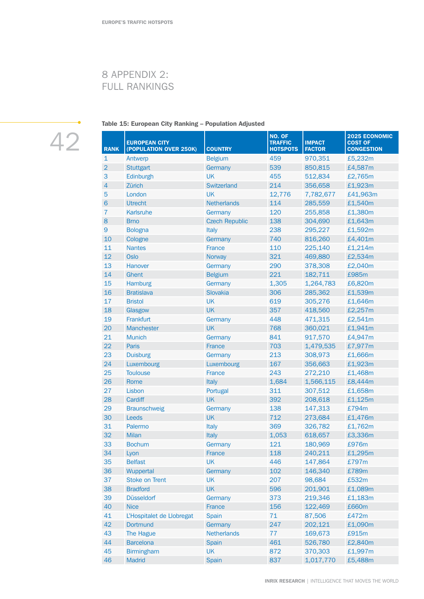# 8 APPENDIX 2: FULL RANKINGS



Table 15: European City Ranking – Population Adjusted

| <b>RANK</b>    | <b>EUROPEAN CITY</b><br>(POPULATION OVER 250K) | <b>COUNTRY</b>        | NO. OF<br><b>TRAFFIC</b><br><b>HOTSPOTS</b> | <b>IMPACT</b><br><b>FACTOR</b> | 2025 ECONOMIC<br><b>COST OF</b><br><b>CONGESTION</b> |
|----------------|------------------------------------------------|-----------------------|---------------------------------------------|--------------------------------|------------------------------------------------------|
| $\mathbf{1}$   | Antwerp                                        | <b>Belgium</b>        | 459                                         | 970,351                        | £5,232m                                              |
| $\overline{2}$ | <b>Stuttgart</b>                               | Germany               | 539                                         | 850,815                        | £4,587m                                              |
| 3              | Edinburgh                                      | <b>UK</b>             | 455                                         | 512,834                        | £2,765m                                              |
| $\overline{4}$ | Zürich                                         | Switzerland           | 214                                         | 356,658                        | £1,923m                                              |
| 5              | London                                         | <b>UK</b>             | 12,776                                      | 7,782,677                      | £41,963m                                             |
| 6              | <b>Utrecht</b>                                 | <b>Netherlands</b>    | 114                                         | 285,559                        | £1,540m                                              |
| $\overline{7}$ | Karlsruhe                                      | Germany               | 120                                         | 255,858                        | £1,380m                                              |
| 8              | <b>Brno</b>                                    | <b>Czech Republic</b> | 138                                         | 304,690                        | £1,643m                                              |
| 9              | <b>Bologna</b>                                 | Italy                 | 238                                         | 295,227                        | £1,592m                                              |
| 10             | Cologne                                        | Germany               | 740                                         | 816,260                        | £4,401m                                              |
| 11             | <b>Nantes</b>                                  | France                | 110                                         | 225,140                        | £1,214m                                              |
| 12             | <b>Oslo</b>                                    | <b>Norway</b>         | 321                                         | 469,880                        | £2,534m                                              |
| 13             | Hanover                                        | Germany               | 290                                         | 378,308                        | £2,040m                                              |
| 14             | Ghent                                          | <b>Belgium</b>        | 221                                         | 182,711                        | £985m                                                |
| 15             | <b>Hamburg</b>                                 | Germany               | 1,305                                       | 1,264,783                      | £6,820m                                              |
| 16             | <b>Bratislava</b>                              | Slovakia              | 306                                         | 285,362                        | £1,539m                                              |
| 17             | <b>Bristol</b>                                 | <b>UK</b>             | 619                                         | 305,276                        | £1,646m                                              |
| 18             | Glasgow                                        | <b>UK</b>             | 357                                         | 418,560                        | £2,257m                                              |
| 19             | Frankfurt                                      | Germany               | 448                                         | 471,315                        | £2,541m                                              |
| 20             | <b>Manchester</b>                              | <b>UK</b>             | 768                                         | 360,021                        | £1,941m                                              |
| 21             | <b>Munich</b>                                  | Germany               | 841                                         | 917,570                        | £4,947m                                              |
| 22             | <b>Paris</b>                                   | France                | 703                                         | 1,479,535                      | £7,977m                                              |
| 23             | <b>Duisburg</b>                                | Germany               | 213                                         | 308,973                        | £1,666m                                              |
| 24             | Luxembourg                                     | Luxembourg            | 167                                         | 356,663                        | £1,923m                                              |
| 25             | <b>Toulouse</b>                                | France                | 243                                         | 272,210                        | £1,468m                                              |
| 26             | Rome                                           | <b>Italy</b>          | 1,684                                       | 1,566,115                      | £8,444m                                              |
| 27             | Lisbon                                         | Portugal              | 311                                         | 307,512                        | £1,658m                                              |
| 28             | Cardiff                                        | <b>UK</b>             | 392                                         | 208,618                        | £1,125m                                              |
| 29             | <b>Braunschweig</b>                            | Germany               | 138                                         | 147,313                        | £794m                                                |
| 30             | Leeds                                          | <b>UK</b>             | 712                                         | 273,684                        | £1,476m                                              |
| 31             | Palermo                                        | Italy                 | 369                                         | 326,782                        | £1,762m                                              |
| 32             | <b>Milan</b>                                   | Italy                 | 1,053                                       | 618,657                        | £3,336m                                              |
| 33             | <b>Bochum</b>                                  | Germany               | 121                                         | 180,969                        | £976m                                                |
| 34             | Lyon                                           | France                | 118                                         | 240,211                        | £1,295m                                              |
| 35             | <b>Belfast</b>                                 | <b>UK</b>             | 446                                         | 147,864                        | £797m                                                |
| 36             | Wuppertal                                      | Germany               | 102                                         | 146,340                        | £789m                                                |
| 37             | <b>Stoke on Trent</b>                          | <b>UK</b>             | 207                                         | 98,684                         | £532m                                                |
| 38             | <b>Bradford</b>                                | <b>UK</b>             | 596                                         | 201,901                        | £1,089m                                              |
| 39             | <b>Düsseldorf</b>                              | Germany               | 373                                         | 219,346                        | £1,183m                                              |
| 40             | <b>Nice</b>                                    | France                | 156                                         | 122,469                        | £660m                                                |
| 41             | L'Hospitalet de Llobregat                      | Spain                 | 71                                          | 87,506                         | £472m                                                |
| 42             | <b>Dortmund</b>                                | Germany               | 247                                         | 202,121                        | £1,090m                                              |
| 43             | The Hague                                      | <b>Netherlands</b>    | 77                                          | 169,673                        | £915m                                                |
| 44             | <b>Barcelona</b>                               | <b>Spain</b>          | 461                                         | 526,780                        | £2,840m                                              |
| 45             | <b>Birmingham</b>                              | <b>UK</b>             | 872                                         | 370,303                        | £1,997m                                              |
| 46             | <b>Madrid</b>                                  | Spain                 | 837                                         | 1,017,770                      | £5,488m                                              |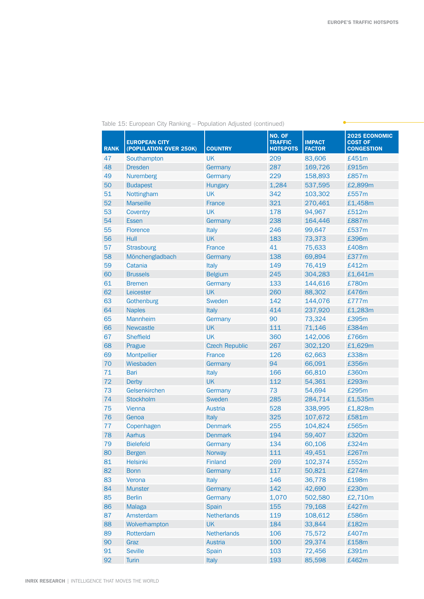| <b>RANK</b> | <b>EUROPEAN CITY</b><br>(POPULATION OVER 250K) | <b>COUNTRY</b>        | NO. OF<br><b>TRAFFIC</b><br><b>HOTSPOTS</b> | <b>IMPACT</b><br><b>FACTOR</b> | <b>2025 ECONOMIC</b><br><b>COST OF</b><br><b>CONGESTION</b> |
|-------------|------------------------------------------------|-----------------------|---------------------------------------------|--------------------------------|-------------------------------------------------------------|
| 47          | Southampton                                    | <b>UK</b>             | 209                                         | 83,606                         | £451m                                                       |
| 48          | <b>Dresden</b>                                 | Germany               | 287                                         | 169,726                        | £915m                                                       |
| 49          | <b>Nuremberg</b>                               | Germany               | 229                                         | 158,893                        | £857m                                                       |
| 50          | <b>Budapest</b>                                | Hungary               | 1,284                                       | 537,595                        | £2,899m                                                     |
| 51          | Nottingham                                     | <b>UK</b>             | 342                                         | 103,302                        | £557m                                                       |
| 52          | <b>Marseille</b>                               | <b>France</b>         | 321                                         | 270,461                        | £1,458m                                                     |
| 53          | Coventry                                       | <b>UK</b>             | 178                                         | 94,967                         | £512m                                                       |
| 54          | <b>Essen</b>                                   | Germany               | 238                                         | 164,446                        | £887m                                                       |
| 55          | <b>Florence</b>                                | Italy                 | 246                                         | 99,647                         | £537m                                                       |
| 56          | Hull                                           | <b>UK</b>             | 183                                         | 73,373                         | £396m                                                       |
| 57          | <b>Strasbourg</b>                              | <b>France</b>         | 41                                          | 75,633                         | £408m                                                       |
| 58          | Mönchengladbach                                | Germany               | 138                                         | 69,894                         | £377m                                                       |
| 59          | Catania                                        | Italy                 | 149                                         | 76,419                         | £412m                                                       |
| 60          | <b>Brussels</b>                                | <b>Belgium</b>        | 245                                         | 304,283                        | £1,641m                                                     |
| 61          | <b>Bremen</b>                                  | Germany               | 133                                         | 144,616                        | £780m                                                       |
| 62          | Leicester                                      | <b>UK</b>             | 260                                         | 88,302                         | £476m                                                       |
| 63          | Gothenburg                                     | Sweden                | 142                                         | 144,076                        | £777m                                                       |
| 64          | <b>Naples</b>                                  | Italy                 | 414                                         | 237,920                        | £1,283m                                                     |
| 65          | <b>Mannheim</b>                                | Germany               | 90                                          | 73,324                         | £395m                                                       |
| 66          | <b>Newcastle</b>                               | <b>UK</b>             | 111                                         | 71,146                         | £384m                                                       |
| 67          | <b>Sheffield</b>                               | <b>UK</b>             | 360                                         | 142,006                        | £766m                                                       |
| 68          | Prague                                         | <b>Czech Republic</b> | 267                                         | 302,120                        | £1,629m                                                     |
| 69          | Montpellier                                    | <b>France</b>         | 126                                         | 62,663                         | £338m                                                       |
| 70          | Wiesbaden                                      | Germany               | 94                                          | 66,091                         | £356m                                                       |
| 71          | Bari                                           | Italy                 | 166                                         | 66,810                         | £360m                                                       |
| 72          | <b>Derby</b>                                   | <b>UK</b>             | 112                                         | 54,361                         | £293m                                                       |
| 73          | Gelsenkirchen                                  | Germany               | 73                                          | 54,694                         | £295m                                                       |
| 74          | <b>Stockholm</b>                               | Sweden                | 285                                         | 284,714                        | £1,535m                                                     |
| 75          | Vienna                                         | Austria               | 528                                         | 338,995                        | £1,828m                                                     |
| 76          | Genoa                                          | <b>Italy</b>          | 325                                         | 107,672                        | £581m                                                       |
| 77          | Copenhagen                                     | <b>Denmark</b>        | 255                                         | 104,824                        | £565m                                                       |
| 78          | <b>Aarhus</b>                                  | <b>Denmark</b>        | 194                                         | 59,407                         | £320m                                                       |
| 79          | <b>Bielefeld</b>                               | Germany               | 134                                         | 60,106                         | £324m                                                       |
| 80          | <b>Bergen</b>                                  | Norway                | 111                                         | 49,451                         | £267m                                                       |
| 81          | <b>Helsinki</b>                                | <b>Finland</b>        | 269                                         | 102,374                        | £552m                                                       |
| 82          | <b>Bonn</b>                                    | Germany               | 117                                         | 50,821                         | £274m                                                       |
| 83          | Verona                                         | Italy                 | 146                                         | 36,778                         | £198m                                                       |
| 84          | <b>Munster</b>                                 | Germany               | 142                                         | 42,690                         | £230m                                                       |
| 85          | <b>Berlin</b>                                  | Germany               | 1,070                                       | 502,580                        | £2,710m                                                     |
| 86          | <b>Malaga</b>                                  | Spain                 | 155                                         | 79,168                         | £427m                                                       |
| 87          | Amsterdam                                      | <b>Netherlands</b>    | 119                                         | 108,612                        | £586m                                                       |
| 88          | Wolverhampton                                  | <b>UK</b>             | 184                                         | 33,844                         | £182m                                                       |
| 89          | Rotterdam                                      | <b>Netherlands</b>    | 106                                         | 75,572                         | £407m                                                       |
| 90          | Graz                                           | Austria               | 100                                         | 29,374                         | £158m                                                       |
| 91          | <b>Seville</b>                                 | Spain                 | 103                                         | 72,456                         | £391m                                                       |
| 92          | Turin                                          | Italy                 | 193                                         | 85,598                         | £462m                                                       |

#### Table 15: European City Ranking – Population Adjusted (continued)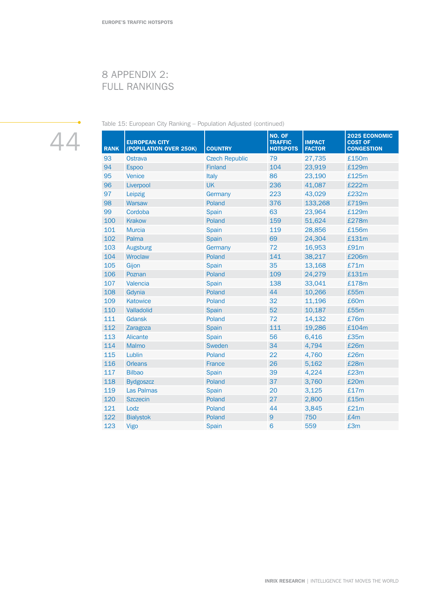# 8 APPENDIX 2: FULL RANKINGS



Table 15: European City Ranking – Population Adjusted (continued)

| <b>RANK</b> | <b>EUROPEAN CITY</b><br>(POPULATION OVER 250K) | <b>COUNTRY</b>        | NO. OF<br><b>TRAFFIC</b><br><b>HOTSPOTS</b> | <b>IMPACT</b><br><b>FACTOR</b> | <b>2025 ECONOMIC</b><br><b>COST OF</b><br><b>CONGESTION</b> |
|-------------|------------------------------------------------|-----------------------|---------------------------------------------|--------------------------------|-------------------------------------------------------------|
| 93          | Ostrava                                        | <b>Czech Republic</b> | 79                                          | 27,735                         | £150m                                                       |
| 94          | <b>Espoo</b>                                   | <b>Finland</b>        | 104                                         | 23,919                         | £129m                                                       |
| 95          | <b>Venice</b>                                  | Italy                 | 86                                          | 23,190                         | £125m                                                       |
| 96          | Liverpool                                      | <b>UK</b>             | 236                                         | 41,087                         | £222m                                                       |
| 97          | Leipzig                                        | Germany               | 223                                         | 43,029                         | £232m                                                       |
| 98          | Warsaw                                         | Poland                | 376                                         | 133,268                        | £719m                                                       |
| 99          | Cordoba                                        | Spain                 | 63                                          | 23,964                         | £129m                                                       |
| 100         | <b>Krakow</b>                                  | Poland                | 159                                         | 51,624                         | £278m                                                       |
| 101         | <b>Murcia</b>                                  | Spain                 | 119                                         | 28,856                         | £156m                                                       |
| 102         | Palma                                          | Spain                 | 69                                          | 24,304                         | £131m                                                       |
| 103         | Augsburg                                       | Germany               | 72                                          | 16,953                         | £91m                                                        |
| 104         | Wroclaw                                        | Poland                | 141                                         | 38,217                         | £206m                                                       |
| 105         | Gijon                                          | Spain                 | 35                                          | 13,168                         | £71m                                                        |
| 106         | Poznan                                         | Poland                | 109                                         | 24,279                         | £131m                                                       |
| 107         | Valencia                                       | Spain                 | 138                                         | 33,041                         | £178m                                                       |
| 108         | Gdynia                                         | Poland                | 44                                          | 10,266                         | £55m                                                        |
| 109         | Katowice                                       | Poland                | 32                                          | 11,196                         | £60m                                                        |
| 110         | Valladolid                                     | Spain                 | 52                                          | 10,187                         | £55m                                                        |
| 111         | Gdansk                                         | Poland                | 72                                          | 14,132                         | £76m                                                        |
| 112         | Zaragoza                                       | Spain                 | 111                                         | 19,286                         | £104m                                                       |
| 113         | Alicante                                       | <b>Spain</b>          | 56                                          | 6,416                          | £35m                                                        |
| 114         | Malmo                                          | <b>Sweden</b>         | 34                                          | 4,794                          | £26m                                                        |
| 115         | Lublin                                         | Poland                | 22                                          | 4,760                          | £26m                                                        |
| 116         | <b>Orleans</b>                                 | <b>France</b>         | 26                                          | 5,162                          | £28m                                                        |
| 117         | <b>Bilbao</b>                                  | Spain                 | 39                                          | 4,224                          | £23m                                                        |
| 118         | <b>Bydgoszcz</b>                               | Poland                | 37                                          | 3,760                          | £20m                                                        |
| 119         | <b>Las Palmas</b>                              | Spain                 | 20                                          | 3,125                          | £17m                                                        |
| 120         | <b>Szczecin</b>                                | Poland                | 27                                          | 2,800                          | £15m                                                        |
| 121         | Lodz                                           | Poland                | 44                                          | 3,845                          | £21m                                                        |
| 122         | <b>Bialystok</b>                               | Poland                | $\overline{9}$                              | 750                            | £4m                                                         |
| 123         | Vigo                                           | Spain                 | $6\phantom{1}$                              | 559                            | £3m                                                         |